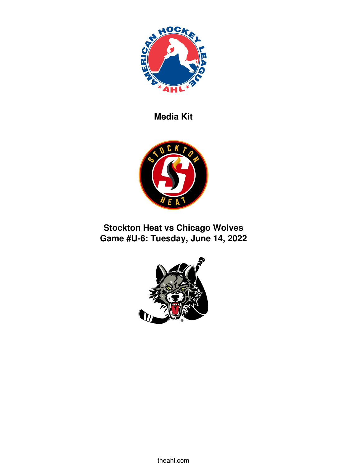

**Media Kit**



# **Stockton Heat vs Chicago Wolves Game #U-6: Tuesday, June 14, 2022**

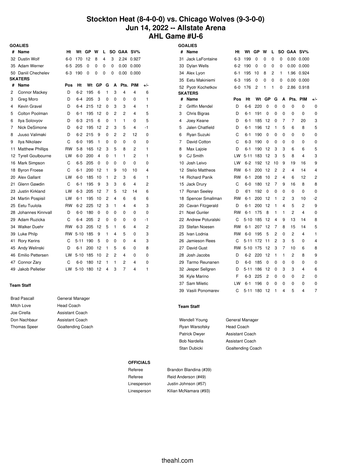## **Stockton Heat (8-4-0-0) vs. Chicago Wolves (9-3-0-0) Jun 14, 2022 -- Allstate Arena AHL Game #U-6**

|    | <b>GOALIES</b>           |           |          |     |    |                |    |            |            |     |
|----|--------------------------|-----------|----------|-----|----|----------------|----|------------|------------|-----|
| #  | <b>Name</b>              | Ht        | Wt       | GP  | W  | L              | SO | <b>GAA</b> | $SV\%$     |     |
| 32 | <b>Dustin Wolf</b>       | 6-0       | 170      | 12  | 8  | $\overline{4}$ | 3  | 2.24       | 0.927      |     |
| 35 | Adam Werner              | 6-5       | 205      | 0   | 0  | 0              | 0  | 0.00       | 0.000      |     |
| 50 | Daniil Chechelev         | $6 - 3$   | 190      | 0   | 0  | 0              | 0  | 0.00       | 0.000      |     |
|    | <b>SKATERS</b>           |           |          |     |    |                |    |            |            |     |
| #  | Name                     | Pos       | Ht       | Wt  | GP | G              | A  | Pts.       | <b>PIM</b> | +/- |
| 2  | <b>Connor Mackey</b>     | D         | $6 - 2$  | 195 | 6  | 1              | 3  | 4          | 4          | 6   |
| 3  | Greg Moro                | D         | 6-4      | 205 | 3  | 0              | 0  | 0          | 0          | 1   |
| 4  | Kevin Gravel             | D         | 6-4      | 215 | 12 | 0              | 3  | 3          | 4          | 1   |
| 5  | <b>Colton Poolman</b>    | D         | $6 - 1$  | 195 | 12 | 0              | 2  | 2          | 4          | 5   |
| 6  | Ilya Solovyov            | D         | $6 - 3$  | 215 | 6  | 0              | 1  | 1          | 0          | 5   |
| 7  | Nick DeSimone            | D         | $6 - 2$  | 195 | 12 | 2              | 3  | 5          | 4          | -1  |
| 8  | Juuso Valimaki           | D         | $6 - 2$  | 215 | 9  | 0              | 2  | 2          | 12         | 0   |
| 9  | Ilya Nikolaev            | C         | 6-0      | 195 | 1  | 0              | 0  | 0          | 0          | 0   |
| 11 | <b>Matthew Phillips</b>  | RW        | $5-8$    | 165 | 12 | 3              | 5  | 8          | 2          | 1   |
| 12 | <b>Tyrell Goulbourne</b> | LW        | $6-0$    | 200 | 4  | $\Omega$       | 1  | 1          | 2          | 1   |
| 16 | Mark Simpson             | C         | $6 - 5$  | 205 | 0  | 0              | 0  | $\Omega$   | 0          | 0   |
| 18 | <b>Byron Froese</b>      | C         | $6 - 1$  | 200 | 12 | 1              | 9  | 10         | 10         | 4   |
| 20 | Alex Gallant             | LW        | $6-0$    | 185 | 10 | 1              | 2  | 3          | 6          | 1   |
| 21 | Glenn Gawdin             | C         | $6-1$    | 195 | 9  | 3              | 3  | 6          | 4          | 2   |
| 23 | Justin Kirkland          | LW        | $6 - 3$  | 205 | 12 | 7              | 5  | 12         | 14         | 6   |
| 24 | <b>Martin Pospisil</b>   | LW        | $6 - 1$  | 195 | 10 | 2              | 4  | 6          | 6          | 6   |
| 25 | Eetu Tuulola             | <b>RW</b> | $6 - 2$  | 225 | 12 | 3              | 1  | 4          | 4          | 3   |
| 28 | Johannes Kinnvall        | D         | $6-0$    | 180 | 0  | 0              | 0  | 0          | 0          | 0   |
| 29 | Adam Ruzicka             | C         | 6-4      | 205 | 2  | 0              | 0  | 0          | 0          | -1  |
| 34 | Walker Duehr             | <b>RW</b> | $6 - 3$  | 205 | 12 | 5              | 1  | 6          | 4          | 2   |
| 39 | Luke Philp               | <b>RW</b> | $5 - 10$ | 185 | 9  | 1              | 4  | 5          | 0          | 3   |
| 41 | <b>Rory Kerins</b>       | C         | $5 - 11$ | 190 | 5  | 0              | 0  | 0          | 4          | 3   |
| 45 | Andy Welinski            | D         | $6 - 1$  | 200 | 12 | 1              | 5  | 6          | 0          | 8   |
| 46 | Emilio Pettersen         | LW        | $5 - 10$ | 185 | 10 | 2              | 2  | 4          | 0          | 0   |
| 47 | Connor Zary              | C         | $6-0$    | 180 | 12 | 1              | 1  | 2          | 4          | 0   |
| 49 | Jakob Pelletier          | LW        | $5 - 10$ | 180 | 12 | 4              | 3  | 7          | 4          | 1   |

### **Team Staff**

| <b>Brad Pascall</b> |
|---------------------|
| Mitch Love          |
| Joe Cirella         |
| Don Nachbaur        |
| Thomas Speer        |

## General Manager Head Coach Assistant Coach Assistant Coach nas Speer Goaltending Coach

| <b>GOALIES</b> |                        |         |          |     |    |    |                |                |        |     |
|----------------|------------------------|---------|----------|-----|----|----|----------------|----------------|--------|-----|
| #              | Name                   | Ht      | Wt       | GP  | W  | L  | SO             | <b>GAA</b>     | $SV\%$ |     |
| 31             | Jack LaFontaine        | $6 - 3$ | 199      | 0   | 0  | 0  | 0              | 0.00           | 0.000  |     |
| 33             | <b>Dylan Wells</b>     | $6 - 2$ | 190      | 0   | 0  | 0  | 0              | 0.00           | 0.000  |     |
| 34             | Alex Lyon              | $6 - 1$ | 195      | 10  | 8  | 2  | 1              | 1.96           | 0.924  |     |
| 35             | Eetu Makiniemi         | $6 - 3$ | 195      | 0   | 0  | 0  | 0              | 0.00           | 0.000  |     |
| 52             | Pyotr Kochetkov        | $6-0$   | 176      | 2   | 1  | 1  | 0              | 2.86           | 0.918  |     |
|                | <b>SKATERS</b>         |         |          |     |    |    |                |                |        |     |
| #              | Name                   | Pos     | Ht       | Wt  | GP | G  | A              | Pts.           | PIM    | +/- |
| 2              | <b>Griffin Mendel</b>  | D       | $6-6$    | 220 | 0  | 0  | 0              | 0              | 0      | 0   |
| 3              | <b>Chris Bigras</b>    | D       | $6 - 1$  | 191 | 0  | 0  | 0              | 0              | 0      | 0   |
| 4              | Joey Keane             | D       | $6 - 1$  | 185 | 12 | 0  | 7              | 7              | 20     | 3   |
| 5              | Jalen Chatfield        | D       | $6 - 1$  | 196 | 12 | 1  | 5              | 6              | 8      | 5   |
| 6              | Ryan Suzuki            | C       | $6 - 1$  | 190 | 0  | 0  | 0              | 0              | 0      | 0   |
| 7              | David Cotton           | Ċ       | $6 - 3$  | 190 | 0  | 0  | 0              | 0              | 0      | 0   |
| 8              | Max Lajoie             | D       | $6 - 1$  | 190 | 12 | 3  | 3              | 6              | 6      | 5   |
| 9              | <b>CJ Smith</b>        | LW      | $5 - 11$ | 183 | 12 | 3  | 5              | 8              | 4      | 3   |
| 10             | Josh Leivo             | LW      | $6 - 2$  | 192 | 12 | 10 | 9              | 19             | 16     | 9   |
| 12             | <b>Stelio Mattheos</b> | RW      | $6 - 1$  | 200 | 12 | 2  | 2              | $\overline{4}$ | 14     | 4   |
| 14             | <b>Richard Panik</b>   | RW      | $6 - 1$  | 208 | 10 | 2  | 4              | 6              | 12     | 2   |
| 15             | Jack Drury             | С       | $6-0$    | 180 | 12 | 7  | 9              | 16             | 8      | 8   |
| 17             | Ronan Seeley           | D       | 6'1      | 192 | 0  | 0  | 0              | 0              | 0      | 0   |
| 18             | Spencer Smallman       | RW      | $6 - 1$  | 200 | 12 | 1  | 2              | 3              | 10     | -2  |
| 20             | Cavan Fitzgerald       | D       | $6 - 1$  | 200 | 12 | 1  | $\overline{4}$ | 5              | 2      | 9   |
| 21             | <b>Noel Gunler</b>     | RW      | $6 - 1$  | 175 | 8  | 1  | 1              | 2              | 4      | 0   |
| 22             | Andrew Poturalski      | C       | $5 - 10$ | 185 | 12 | 4  | 9              | 13             | 14     | 8   |
| 23             | Stefan Noesen          | RW      | $6 - 1$  | 207 | 12 | 7  | 8              | 15             | 14     | 5   |
| 25             | Ivan Lodnia            | RW      | $6-0$    | 195 | 5  | 2  | 0              | 2              | 4      | 1   |
| 26             | Jamieson Rees          | C       | 5-11     | 172 | 11 | 2  | 3              | 5              | 0      | 4   |
| 27             | David Gust             | RW      | $5 - 10$ | 175 | 12 | 3  | 7              | 10             | 6      | 8   |
| 28             | Josh Jacobs            | D       | $6 - 2$  | 220 | 12 | 1  | 1              | $\overline{c}$ | 8      | 9   |
| 29             | Tarmo Reunanen         | D       | $6-0$    | 185 | 0  | 0  | 0              | 0              | 0      | 0   |
|                | 32 Jesper Sellgren     | D       | $5 - 11$ | 186 | 12 | 0  | 3              | 3              | 4      | 6   |
| 36             | Kyle Marino            | F       | $6 - 3$  | 225 | 2  | 0  | 0              | 0              | 2      | 0   |
| 37             | Sam Miletic            | LW      | $6 - 1$  | 196 | 0  | 0  | 0              | 0              | 0      | 0   |
| 39             | Vasili Ponomarev       | C       | 5-11     | 180 | 12 | 1  | 4              | 5              | 4      | 7   |

#### **Team Staff**

Ryan Warsofsky Head Coach Patrick Dwyer **Assistant Coach** Bob Nardella Assistant Coach

Wendell Young **General Manager** Stan Dubicki Goaltending Coach

#### **OFFICIALS**

Referee Brandon Blandina (#39) Referee Reid Anderson (#49) Linesperson Justin Johnson (#57) Linesperson Kilian McNamara (#93)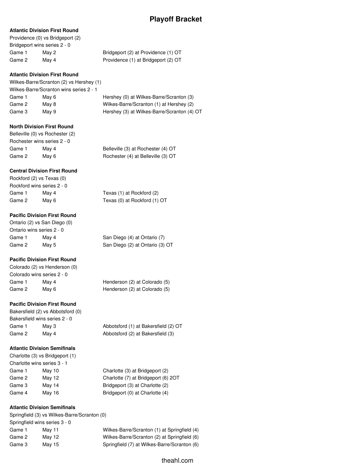## **Atlantic Division First Round**

|        | Providence (0) vs Bridgeport (2) |                                     |
|--------|----------------------------------|-------------------------------------|
|        | Bridgeport wins series 2 - 0     |                                     |
| Game 1 | Mav 2                            | Bridgeport (2) at Providence (1) OT |
| Game 2 | Mav 4                            | Providence (1) at Bridgeport (2) OT |
|        |                                  |                                     |

### **Atlantic Division First Round**

Wilkes-Barre/Scranton (2) vs Hershey (1) Wilkes-Barre/Scranton wins series 2 - 1 Game 1 May 6 Hershey (0) at Wilkes-Barre/Scranton (3) Game 2 May 8 Wilkes-Barre/Scranton (1) at Hershey (2) Game 3 May 9 Hershey (3) at Wilkes-Barre/Scranton (4) OT

### **North Division First Round**

Belleville (0) vs Rochester (2) Rochester wins series 2 - 0 Game 1 May 4 Belleville (3) at Rochester (4) OT Game 2 May 6 Rochester (4) at Belleville (3) OT

## **Central Division First Round**

|        | Rockford (2) vs Texas (0)  |                              |
|--------|----------------------------|------------------------------|
|        | Rockford wins series 2 - 0 |                              |
| Game 1 | May 4                      | Texas (1) at Rockford (2)    |
| Game 2 | May 6                      | Texas (0) at Rockford (1) OT |

## **Pacific Division First Round**

Ontario (2) vs San Diego (0) Ontario wins series 2 - 0 Game 1 May 4 San Diego (4) at Ontario (7)

Game 2 May 5 San Diego (2) at Ontario (3) OT

## **Pacific Division First Round**

Colorado (2) vs Henderson (0) Colorado wins series 2 - 0 Game 1 May 4 Henderson (2) at Colorado (5) Game 2 May 6 Henderson (2) at Colorado (5)

## **Pacific Division First Round**

Bakersfield (2) vs Abbotsford (0) Bakersfield wins series 2 - 0 Game 1 May 3 Abbotsford (1) at Bakersfield (2) OT Game 2 May 4 Abbotsford (2) at Bakersfield (3)

## **Atlantic Division Semifinals**

Charlotte (3) vs Bridgeport (1) Charlotte wins series 3 - 1 Game 1 May 10 Charlotte (3) at Bridgeport (2) Game 2 May 12 Charlotte (7) at Bridgeport (6) 2OT Game 3 May 14 Bridgeport (3) at Charlotte (2) Game 4 May 16 Bridgeport (0) at Charlotte (4)

## **Atlantic Division Semifinals**

|                               | Springfield (3) vs Wilkes-Barre/Scranton (0) |                                              |  |  |  |  |
|-------------------------------|----------------------------------------------|----------------------------------------------|--|--|--|--|
| Springfield wins series 3 - 0 |                                              |                                              |  |  |  |  |
| Game 1                        | Mav 11                                       | Wilkes-Barre/Scranton (1) at Springfield (4) |  |  |  |  |
| Game 2                        | May 12                                       | Wilkes-Barre/Scranton (2) at Springfield (6) |  |  |  |  |
| Game 3                        | May 15                                       | Springfield (7) at Wilkes-Barre/Scranton (6) |  |  |  |  |
|                               |                                              |                                              |  |  |  |  |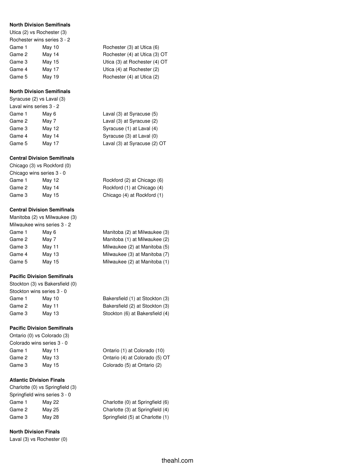### **North Division Semifinals**

Utica (2) vs Rochester (3)

| Rochester wins series 3 - 2 |                               |
|-----------------------------|-------------------------------|
| May 10                      | Rochester (3) at Utica (6)    |
| May 14                      | Rochester (4) at Utica (3) OT |
| May 15                      | Utica (3) at Rochester (4) OT |
| May 17                      | Utica (4) at Rochester (2)    |
| May 19                      | Rochester (4) at Utica (2)    |
|                             |                               |

### **North Division Semifinals**

Syracuse (2) vs Laval (3) Laval wins series 3 - 2 Game 1 May 6 L Game 2 May 7 Laval (3) and Syracuse (3) at Syracuse (3) and Syracuse (3) and Syracuse (3) at Syracuse (3) and Syracuse (3) and Syracuse (3) and Syracuse (3) and Syracuse (3) and Syracuse (3) and Syracuse (3) and Syracuse ( Game 3 May 12 S Game  $4$  May  $14$  S

## **Central Division Semifinals**

Chicago (3) vs Rockford (0) Chicago wins series 3 - 0 Game 1 May 12 F Game 2 May 14 F Game 3 May 15 Chicago (1)

## **Central Division Semifinals**

Manitoba (2) vs Milwaukee (3) Milwaukee wins series 3 - 2 Game 1 May 6 Manitoba (2) at Milwaukee (3) Game 2 May 7 Manitoba (1) at Milwaukee (2) at Milwaukee (2) at Milwaukee (2) at M Game 3 May 11 Milwaukee (2) at Manitoba (5) Game 4 May 13 Milk Game 5 May 15 Manitoba (1)

## **Pacific Division Semifinals**

Stockton (3) vs Bakersfield (0) Stockton wins series 3 - 0 Game 1 May 10 Bakersfield (1) at Stockton (3) Game 2 May 11 Bakersfield (2) at Stockton (3) Game 3 May 13 Stockton (6) at Bakersfield (4)

## **Pacific Division Semifinals**

Ontario (0) vs Colorado (3) Colorado wins series 3 - 0 Game 3 May 15 Colorado (5) at Ontario (2)

## **Atlantic Division Finals**

Charlotte (0) vs Springfield (3) Springfield wins series 3 - 0 Game 1 May 22 Charlotte (0) at Springfield (6) Game 2 May 25 Charlotte (3) at Springfield (4) Game 3 May 28 Springfield (5) at Charlotte (1)

## **North Division Finals**

Laval (3) vs Rochester (0)

| Rochester (3) at Utica (6)    |
|-------------------------------|
| Rochester (4) at Utica (3) OT |
| Utica (3) at Rochester (4) OT |
| Utica (4) at Rochester (2)    |
| Rochester (4) at Utica (2)    |

| Game 1 | May 6  | Laval (3) at Syracuse (5)    |
|--------|--------|------------------------------|
| Game 2 | May 7  | Laval (3) at Syracuse (2)    |
| Game 3 | May 12 | Syracuse (1) at Laval (4)    |
| Game 4 | May 14 | Syracuse (3) at Laval (0)    |
| Game 5 | May 17 | Laval (3) at Syracuse (2) OT |

| Rockford (2) at Chicago (6) |  |
|-----------------------------|--|
| Rockford (1) at Chicago (4) |  |
| Chicago (4) at Rockford (1) |  |

| Manitoba (2) at Milwaukee (3) |  |
|-------------------------------|--|
| Manitoba (1) at Milwaukee (2) |  |
| Milwaukee (2) at Manitoba (5) |  |
| Milwaukee (3) at Manitoba (7) |  |
| Milwaukee (2) at Manitoba (1) |  |

| Bakersfield (1) at Stockton (3 |  |
|--------------------------------|--|
| Bakersfield (2) at Stockton (3 |  |
| Stockton (6) at Bakersfield (4 |  |

Game 1 May 11 Ontario (1) at Colorado (10) Game 2 May 13 **Ontario (4) at Colorado (5) OT**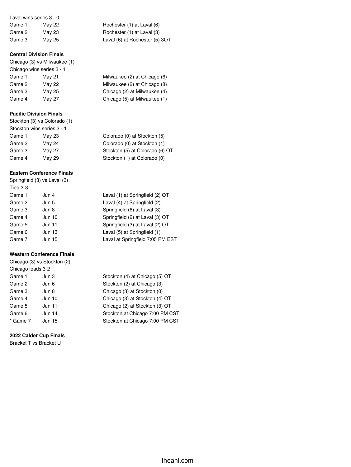| Laval wins series 3 - 0 |               |
|-------------------------|---------------|
| Game 1                  | <b>May 22</b> |
| Game 2                  | <b>May 23</b> |
| Game 3                  | May 25        |

## **Central Division Finals**

Chicago (3) vs Milwaukee (1) Chicago wins series 3 - 1 Game 1 May 21 Game 2 May 22 Game 3 May 25 Game 4 May 27 Chicago (5) at Milwaukee (1)

## **Pacific Division Finals**

|        | Stockton (3) vs Colorado (1) |                                 |
|--------|------------------------------|---------------------------------|
|        | Stockton wins series 3 - 1   |                                 |
| Game 1 | May 23                       | Colorado (0) at Stockton (5)    |
| Game 2 | May 24                       | Colorado (0) at Stockton (1)    |
| Game 3 | May 27                       | Stockton (5) at Colorado (6) OT |
| Game 4 | May 29                       | Stockton (1) at Colorado (0)    |
|        |                              |                                 |

## **Eastern Conference Finals**

| Springfield (3) vs Laval (3) |        |  |  |  |  |  |  |  |
|------------------------------|--------|--|--|--|--|--|--|--|
| Tied 3-3                     |        |  |  |  |  |  |  |  |
| Game 1                       | Jun 4  |  |  |  |  |  |  |  |
| Game 2                       | Jun 5  |  |  |  |  |  |  |  |
| Game 3                       | Jun 8  |  |  |  |  |  |  |  |
| Game 4                       | Jun 10 |  |  |  |  |  |  |  |
| Game 5                       | Jun 11 |  |  |  |  |  |  |  |
| Game 6                       | Jun 13 |  |  |  |  |  |  |  |
| Game 7                       | Jun 15 |  |  |  |  |  |  |  |

## **Western Conference Finals**

Chicago (3) vs Stockton (2) Chicago leads 3-2 Game 1 Jun 3 Stockton (4) at Chicago (5) OT Game 2 Jun 6 Stockton (2) at Chicago (3) Game 3 Jun 8 Chicago (3) at Stockton (0) Game 4 Jun 10 Chicago (3) at Stockton (4) OT Game 5 Jun 11 Chicago (2) at Stockton (3) OT Game 6 Jun 14 Stockton at Chicago 7:00 PM CST \* Game 7 Jun 15 Stockton at Chicago 7:00 PM CST

## **2022 Calder Cup Finals**

Bracket T vs Bracket U

Rochester (1) at Laval (6) Rochester (1) at Laval (3) Laval (6) at Rochester (5) 3OT

| Milwaukee (2) at Chicago (6) |
|------------------------------|
| Milwaukee (2) at Chicago (8) |
| Chicago (2) at Milwaukee (4) |
| Chicago (5) at Milwaukee (1) |

Laval (1) at Springfield (2) OT Laval (4) at Springfield (2) Springfield (6) at Laval (3) Springfield (2) at Laval (3) OT Springfield (3) at Laval (2) OT Laval (5) at Springfield (1) Laval at Springfield 7:05 PM EST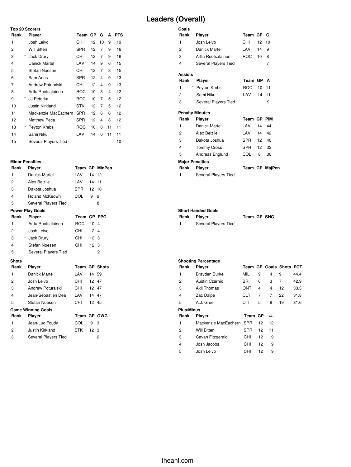## **Leaders (Overall)**

## **Top 20 Scorers Rank Player Team GP G A PTS** Josh Leivo CHI 12 10 9 19 Will Bitten SPR 12 7 9 16 \* Jack Drury CHI 12 7 9 16 Danick Martel LAV 14 9 6 15 Stefan Noesen CHI 12 7 8 15 Sam Anas SPR 12 4 9 13 Andrew Poturalski CHI 12 4 9 13 Arttu Ruotsalainen ROC 10 8 4 12 \* JJ Peterka ROC 10 7 5 12 Justin Kirkland STK 12 7 5 12 Mackenzie MacEachern SPR 12 6 6 12 12 Matthew Peca SPR 12 4 8 12 \* Peyton Krebs ROC 10 0 11 11 Sami Niku LAV 14 0 11 11 15 Several Players Tied 10

## **Minor Penalties**

| Rank                    | Player                    |                    |                 | <b>Team GP MinPen</b> |
|-------------------------|---------------------------|--------------------|-----------------|-----------------------|
| 1                       | Danick Martel             | LAV                | 14              | 12                    |
| $\overline{2}$          | Alex Belzile              | LAV                | 14 11           |                       |
| 3                       | Dakota Joshua             | SPR                | 12 10           |                       |
| 4                       | Roland McKeown            | COL                | 9               | 9                     |
| 5                       | Several Players Tied      |                    |                 | 8                     |
|                         | <b>Power Play Goals</b>   |                    |                 |                       |
| Rank                    | Player                    | <b>Team GP PPG</b> |                 |                       |
| 1                       | Arttu Ruotsalainen        | ROC                | $10^{-7}$       | 4                     |
| $\overline{2}$          | Josh Leivo                | CHI —              | 12 <sub>4</sub> |                       |
| 3                       | * Jack Drury              | CHI –              | 12 <sub>3</sub> |                       |
| 4                       | Stefan Noesen             | CHI                | 12 <sub>3</sub> |                       |
| 5                       | Several Players Tied      |                    |                 | 2                     |
| <b>Shots</b>            |                           |                    |                 |                       |
| Rank                    | Player                    |                    |                 | <b>Team GP Shots</b>  |
| 1                       | Danick Martel             | LAV                | 14 59           |                       |
| $\overline{2}$          | Josh Leivo                | CHI –              | 12 47           |                       |
| 3                       | Andrew Poturalski         | CHI                | 12 47           |                       |
| $\overline{\mathbf{4}}$ | Jean-Sébastien Dea        | LAV                | 14 47           |                       |
| 5                       | Stefan Noesen             | CHI                | 12 45           |                       |
|                         | <b>Game Winning Goals</b> |                    |                 |                       |
| Rank                    | Player                    | Team GP GWG        |                 |                       |
| 1                       | Jean-Luc Foudy            | COL                | 9               | 3                     |
| $\overline{2}$          | Justin Kirkland           | <b>STK</b>         | 12 <sup>2</sup> | 3                     |
| 3                       | Several Players Tied      |                    |                 | 2                     |

| Goals                   |                        |             |                 |                |
|-------------------------|------------------------|-------------|-----------------|----------------|
| Rank                    | <b>Player</b>          | Team GP     |                 | G              |
| 1                       | Josh Leivo             | CHI         | 12              | 10             |
| $\overline{2}$          | Danick Martel          | I AV        | 14              | 9              |
| 3                       | Arttu Ruotsalainen     | <b>ROC</b>  | $10-10$         | 8              |
| $\overline{\mathbf{4}}$ | Several Players Tied   |             |                 | 7              |
| <b>Assists</b>          |                        |             |                 |                |
| Rank                    | <b>Player</b>          | Team GP     |                 | А              |
| *<br>1                  | Peyton Krebs           | <b>ROC</b>  | 10              | 11             |
| $\overline{2}$          | Sami Niku              | I AV        | 14              | 11             |
| 3                       | Several Players Tied   |             |                 | 9              |
|                         | <b>Penalty Minutes</b> |             |                 |                |
| Rank                    | Player                 | Team GP PIM |                 |                |
| 1                       | Danick Martel          | I AV        | 14              | 44             |
| 2                       | Alex Belzile           | I AV        |                 | 14 42          |
| 3                       | Dakota Joshua          | SPR         | 12 <sup>7</sup> | 40             |
| 4                       | <b>Tommy Cross</b>     | SPR         | 12 <sup>7</sup> | 32             |
| 5                       | Andreas Englund        | <b>COL</b>  | 8               | 30             |
| <b>Major Penalties</b>  |                        |             |                 |                |
| Rank                    | Player                 |             |                 | Team GP MajPen |
| 1                       | Several Players Tied   |             |                 | 1              |
|                         |                        |             |                 |                |

### **Short Handed Goals**

| Rank | Player               | Team GP SHG |  |
|------|----------------------|-------------|--|
|      | Several Players Tied |             |  |

|                   | <b>Shooting Percentage</b> |            |    |       |                         |      |
|-------------------|----------------------------|------------|----|-------|-------------------------|------|
| Rank              | <b>Player</b>              |            |    |       | Team GP Goals Shots PCT |      |
| 1                 | <b>Brayden Burke</b>       | MIL        | 9  | 4     | 9                       | 44.4 |
| 2                 | Austin Czarnik             | BRI        | 6  | 3     | 7                       | 42.9 |
| 3                 | Akil Thomas                | ONT        | 4  | 4     | 12                      | 33.3 |
| 4                 | Zac Dalpe                  | CLT        | 7  | 7     | 22                      | 31.8 |
| 5                 | A.J. Greer                 | UTI        | 5  | 6     | 19                      | 31.6 |
| <b>Plus/Minus</b> |                            |            |    |       |                         |      |
| Rank              | Player                     | Team GP    |    | $+/-$ |                         |      |
| 1                 | Mackenzie MacEachern       | <b>SPR</b> | 12 | 12    |                         |      |
| $\overline{2}$    | <b>Will Bitten</b>         | SPR        | 12 | 11    |                         |      |
| 3                 | Cavan Fitzgerald           | CHI        | 12 | 9     |                         |      |
| 4                 | Josh Jacobs                | CHI        | 12 | 9     |                         |      |
| 5                 | Josh Leivo                 | CHI        | 12 | 9     |                         |      |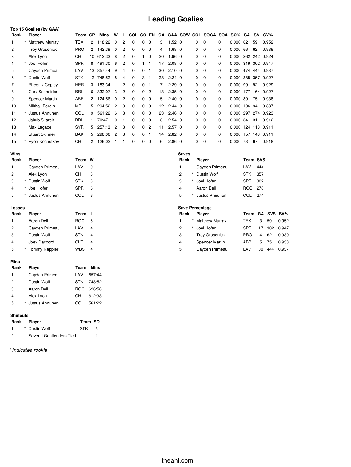## **Leading Goalies**

|      |   | Top 15 Goalies (by GAA) |            |                |        |                |                |          |              |                |    |                |          |                      |          |                     |        |     |               |
|------|---|-------------------------|------------|----------------|--------|----------------|----------------|----------|--------------|----------------|----|----------------|----------|----------------------|----------|---------------------|--------|-----|---------------|
| Rank |   | Player                  | Team       | GP             | Mins   | W              | L              | SOL      |              | SO EN          | GA |                |          | GAA SOW SOL SOGA SOA |          | SO%                 | SA     | S٧  | $SV\%$        |
|      |   | <b>Matthew Murray</b>   | <b>TEX</b> | 2              | 118:22 | 0              | 2              | $\Omega$ | 0            | $\Omega$       | 3  | $1.52 \ 0$     | $\Omega$ | 0                    | 0        | 0.000               | 62     | 59  | 0.952         |
| 2    |   | <b>Troy Grosenick</b>   | <b>PRO</b> | $\overline{2}$ | 142:39 | 0              | 2              | $\Omega$ | $\Omega$     | $\Omega$       | 4  | $1.68 \quad 0$ | $\Omega$ | 0                    | $\Omega$ | 0.00066             |        | 62  | 0.939         |
| 3    |   | Alex Lyon               | <b>CHI</b> | 10             | 612:33 | 8              | $\overline{c}$ | $\Omega$ |              | 0              | 20 | $1.96 \quad 0$ | 0        | 0                    | 0        | 0.000 262 242 0.924 |        |     |               |
| 4    |   | Joel Hofer              | <b>SPR</b> | 8              | 491:30 | 6              | 2              | $\Omega$ |              | 1              | 17 | $2.08 \quad 0$ | 0        | $\mathbf 0$          | $\Omega$ | 0.000 319 302 0.947 |        |     |               |
| 5    |   | Cayden Primeau          | LAV        | 13             | 857:44 | 9              | 4              | $\Omega$ | $\Omega$     | 1              | 30 | $2.10 \quad 0$ | 0        | 0                    | $\Omega$ | 0.000               |        |     | 474 444 0.937 |
| 6    | * | Dustin Wolf             | <b>STK</b> | 12             | 748:52 | 8              | 4              | $\Omega$ | 3            | 1              | 28 | $2.24 \quad 0$ | $\Omega$ | 0                    | $\Omega$ | 0.000               | 385    | 357 | 0.927         |
|      |   | <b>Pheonix Copley</b>   | <b>HER</b> | 3              | 183:34 |                | 2              | $\Omega$ | $\Omega$     | -1             |    | $2.29\ 0$      | 0        | 0                    | $\Omega$ | 0.000 99            |        | 92  | 0.929         |
| 8    |   | Cory Schneider          | <b>BRI</b> | 6              | 332:07 | 3              | $\overline{c}$ | $\Omega$ | $\Omega$     | $\overline{2}$ | 13 | $2.35 \quad 0$ | 0        | $\mathbf 0$          | $\Omega$ | 0.000 177           |        |     | 164 0.927     |
| 9    |   | <b>Spencer Martin</b>   | ABB        | 2              | 124:56 | $\Omega$       | 2              | $\Omega$ | $\Omega$     | $\Omega$       | 5  | $2.40 \quad 0$ | $\Omega$ | $\Omega$             | $\Omega$ | 0.000               | 80     | 75  | 0.938         |
| 10   |   | Mikhail Berdin          | MВ         | 5.             | 294:52 | $\overline{c}$ | 3              | $\Omega$ | $\Omega$     | $\Omega$       | 12 | $2.44 \quad 0$ | 0        | $\Omega$             | $\Omega$ | 0.000               | 106 94 |     | 0.887         |
| 11   |   | Justus Annunen          | COL        | 9              | 561:22 | 6              | 3              | $\Omega$ | $\Omega$     | $\Omega$       | 23 | $2.46 \quad 0$ | 0        | 0                    | $\Omega$ | 0.000 297 274 0.923 |        |     |               |
| 12   |   | Jakub Skarek            | <b>BRI</b> |                | 70:47  | $\Omega$       |                | 0        | $\mathbf{0}$ | $\Omega$       | 3  | $2.54$ 0       | 0        | 0                    | $\Omega$ | 0.000               | 34     | 31  | 0.912         |
| 13   |   | Max Lagace              | <b>SYR</b> | 5              | 257:13 | $\overline{c}$ | 3              | $\Omega$ | $\Omega$     | $\overline{2}$ | 11 | $2.57$ 0       | $\Omega$ | 0                    | $\Omega$ | 0.000               |        |     | 124 113 0.911 |
| 14   |   | <b>Stuart Skinner</b>   | <b>BAK</b> | 5              | 298:06 | $\overline{c}$ | 3              | $\Omega$ | $\Omega$     | 1              | 14 | $2.82 \quad 0$ | $\Omega$ | $\Omega$             | $\Omega$ | 0.000               |        |     | 157 143 0.911 |
| 15   |   | Pyotr Kochetkov         | CHI        | 2              | 126:02 |                |                | 0        | $\mathbf 0$  | 0              | 6  | $2.86$ 0       | $\Omega$ | $\Omega$             | $\Omega$ | 0.000 73            |        | 67  | 0.918         |

| Wins           |         |                      |            |                        | <b>Saves</b>   |                       |            |                |     |                 |
|----------------|---------|----------------------|------------|------------------------|----------------|-----------------------|------------|----------------|-----|-----------------|
| Rank           |         | Player               | Team W     |                        | Rank           | Player                | Team SVS   |                |     |                 |
| 1              |         | Cayden Primeau       | LAV        | 9                      |                | Cayden Primeau        | LAV        | 444            |     |                 |
| $\overline{2}$ |         | Alex Lyon            | <b>CHI</b> | 8                      | 2              | * Dustin Wolf         | <b>STK</b> | 357            |     |                 |
| 3              |         | Dustin Wolf          | <b>STK</b> | 8                      | 3              | Joel Hofer            | SPR 302    |                |     |                 |
| 4              |         | Joel Hofer           | <b>SPR</b> | 6                      | 4              | Aaron Dell            | ROC 278    |                |     |                 |
| 5              |         | Justus Annunen       | <b>COL</b> | 6                      | 5              | Justus Annunen        | COL 274    |                |     |                 |
| <b>Losses</b>  |         |                      |            | <b>Save Percentage</b> |                |                       |            |                |     |                 |
| Rank           |         | Player               | Team L     |                        | Rank           | Player                |            |                |     | Team GA SVS SV% |
| 1.             |         | Aaron Dell           | <b>ROC</b> | -5                     |                | * Matthew Murray      | <b>TEX</b> | 3              | 59  | 0.952           |
| $\overline{2}$ |         | Cayden Primeau       | LAV        | $\overline{4}$         | $\overline{c}$ | Joel Hofer            | <b>SPR</b> | 17             | 302 | 0.947           |
| 3              | $\star$ | Dustin Wolf          | <b>STK</b> | 4                      | 3              | <b>Troy Grosenick</b> | <b>PRO</b> | $\overline{4}$ | 62  | 0.939           |
| 4              |         | Joey Daccord         | <b>CLT</b> | 4                      | 4              | Spencer Martin        | ABB        | 5              | 75  | 0.938           |
|                |         |                      |            |                        |                |                       |            |                |     |                 |
| 5              |         | <b>Tommy Nappier</b> | <b>WBS</b> | 4                      | 5              | Cayden Primeau        | LAV        | 30             | 444 | 0.937           |

#### **Mins**

| Rank | <b>Player</b>  |       | <b>Team Mins</b> |
|------|----------------|-------|------------------|
| 1    | Cayden Primeau | I AV  | 857:44           |
| 2    | * Dustin Wolf  |       | STK 748:52       |
| 3    | Aaron Dell     | ROG.  | 626:58           |
| 4    | Alex Lyon      | CHI   | 612:33           |
| 5    | Justus Annunen | CC OL | 561:22           |

#### **Shutouts**

|     | Rank Player              | Team SO |    |
|-----|--------------------------|---------|----|
|     | * Dustin Wolf            | STK     | -3 |
| - 2 | Several Goaltenders Tied |         |    |

*\* indicates rookie*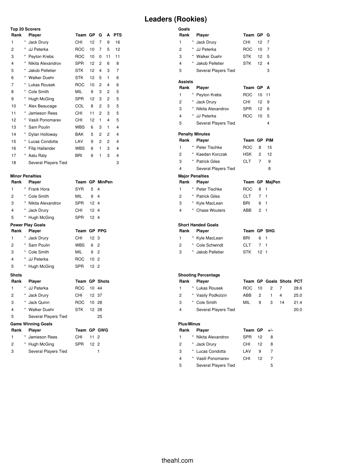## **Leaders (Rookies)**

| <b>Top 20 Scorers</b> |          |                        |            |    |                |    |            |  |  |  |
|-----------------------|----------|------------------------|------------|----|----------------|----|------------|--|--|--|
| Rank                  |          | <b>Player</b>          | Team       | GP | G              | A  | <b>PTS</b> |  |  |  |
| 1                     | *        | Jack Drury             | CHI        | 12 | 7              | 9  | 16         |  |  |  |
| 2                     | *        | JJ Peterka             | <b>ROC</b> | 10 | 7              | 5  | 12         |  |  |  |
| 3                     | *        | Peyton Krebs           | <b>ROC</b> | 10 | 0              | 11 | 11         |  |  |  |
| 4                     | *        | Nikita Alexandrov      | <b>SPR</b> | 12 | 2              | 6  | 8          |  |  |  |
| 5                     | *        | Jakob Pelletier        | STK        | 12 | 4              | 3  | 7          |  |  |  |
| 6                     | *        | <b>Walker Duehr</b>    | STK        | 12 | 5              | 1  | 6          |  |  |  |
| 7                     | *        | Lukas Rousek           | <b>ROC</b> | 10 | 2              | 4  | 6          |  |  |  |
| 8                     | *        | Cole Smith             | MIL        | 9  | 3              | 2  | 5          |  |  |  |
| 9                     | *        | Hugh McGing            | <b>SPR</b> | 12 | 3              | 2  | 5          |  |  |  |
| 10                    | *        | Alex Beaucage          | COL        | 8  | 2              | 3  | 5          |  |  |  |
| 11                    | *        | Jamieson Rees          | CHI        | 11 | 2              | 3  | 5          |  |  |  |
| 12                    | *        | Vasili Ponomarev       | CHI        | 12 | 1              | 4  | 5          |  |  |  |
| 13                    | *        | Sam Poulin             | WBS        | 6  | 3              | 1  | 4          |  |  |  |
| 14                    | $\star$  | Dylan Holloway         | BAK        | 5  | 2              | 2  | 4          |  |  |  |
| 15                    | *        | Lucas Condotta         | LAV        | 9  | $\overline{c}$ | 2  | 4          |  |  |  |
| 16                    | $\star$  | <b>Filip Hallander</b> | <b>WBS</b> | 6  | 1              | 3  | 4          |  |  |  |
| 17                    | $^\star$ | Aatu Raty              | BRI        | 6  | 1              | 3  | 4          |  |  |  |
| 18                    |          | Several Players Tied   |            |    |                |    | 3          |  |  |  |

# **Minor Penalties**

| Rank           |            | Player                      |             |                 | Team GP MinPen          |
|----------------|------------|-----------------------------|-------------|-----------------|-------------------------|
| 1              | $\star$    | Frank Hora                  | SYR         | 5               | 4                       |
| 2              |            | * Cole Smith                | MIL         | 9               | $\overline{\mathbf{4}}$ |
| 3              |            | * Nikita Alexandrov         | SPR         | 12 <sub>4</sub> |                         |
| 4              |            | * Jack Drury                | CHI         | 12 <sub>4</sub> |                         |
| 5              |            | * Hugh McGing               | SPR         | 12 <sub>4</sub> |                         |
|                |            | <b>Power Play Goals</b>     |             |                 |                         |
| Rank           |            | Player                      | Team        |                 | <b>GP PPG</b>           |
| 1              |            | * Jack Drury                | CHI         | 12 <sub>3</sub> |                         |
| $\overline{2}$ |            | * Sam Poulin                | WBS         | 6               | $\overline{2}$          |
| 3              |            | * Cole Smith                | MIL         | 9               | $\overline{2}$          |
| 4              |            | * JJ Peterka                | ROC         | 10 <sub>2</sub> |                         |
| 5              |            | * Hugh McGing               | SPR         | 12 <sub>2</sub> |                         |
| <b>Shots</b>   |            |                             |             |                 |                         |
| Rank           |            | <b>Player</b>               |             |                 | <b>Team GP Shots</b>    |
| 1              | $^{\star}$ | JJ Peterka                  | <b>ROC</b>  | 10 44           |                         |
| 2              |            | * Jack Drury                | CHI         | 12 37           |                         |
| 3              |            | * Jack Quinn                | ROC         | 10 28           |                         |
| 4              |            | * Walker Duehr              | STK         | 12 28           |                         |
| 5              |            | Several Players Tied        |             |                 | 25                      |
|                |            | <b>Game Winning Goals</b>   |             |                 |                         |
| Rank           |            | <b>Player</b>               | Team GP GWG |                 |                         |
| 1              |            | * Jamieson Rees             | CHI         | 11              | $\overline{2}$          |
| 2              |            | * Hugh McGing               | SPR         | 12 <sub>2</sub> |                         |
| 3              |            | <b>Several Players Tied</b> |             |                 | 1                       |

| Goals<br>Rank  | Player                               | Team GP     |                 | G                       |                |              |
|----------------|--------------------------------------|-------------|-----------------|-------------------------|----------------|--------------|
| 1              | $^\star$<br>Jack Drury               | CHI         | 12              | 7                       |                |              |
| $\overline{c}$ | * JJ Peterka                         | <b>ROC</b>  | 10 <sup>1</sup> | $\overline{7}$          |                |              |
| 3              | * Walker Duehr                       | <b>STK</b>  | 12 <sup>2</sup> | 5                       |                |              |
| 4              | * Jakob Pelletier                    | <b>STK</b>  | 12              | $\overline{\mathbf{4}}$ |                |              |
| 5              | Several Players Tied                 |             |                 | 3                       |                |              |
| <b>Assists</b> |                                      |             |                 |                         |                |              |
| Rank           | <b>Player</b>                        | Team GP     |                 | A                       |                |              |
| 1              | Peyton Krebs                         | <b>ROC</b>  | $10-10$         | 11                      |                |              |
| 2              | * Jack Drury                         | CHI         | 12 <sup>2</sup> | 9                       |                |              |
| 3              | * Nikita Alexandrov                  | <b>SPR</b>  | 12 <sup>2</sup> | 6                       |                |              |
| 4              | * JJ Peterka                         | ROC         | 10 <sup>1</sup> | 5                       |                |              |
| 5              | Several Players Tied                 |             |                 | $\overline{\mathbf{4}}$ |                |              |
|                | <b>Penalty Minutes</b>               |             |                 |                         |                |              |
| Rank           | <b>Player</b>                        | Team GP PIM |                 |                         |                |              |
| 1              | * Peter Tischke                      | <b>ROC</b>  | 8               | 15                      |                |              |
| $\overline{c}$ | * Kaedan Korczak                     | <b>HSK</b>  | $\overline{c}$  | 12                      |                |              |
| 3              | * Patrick Giles                      | <b>CLT</b>  | 7               | 9                       |                |              |
| 4              | Several Players Tied                 |             |                 | 8                       |                |              |
|                |                                      |             |                 |                         |                |              |
|                | <b>Major Penalties</b>               |             |                 |                         |                |              |
| Rank           | Player                               |             |                 | Team GP MajPen          |                |              |
| 1              | * Peter Tischke                      | <b>ROC</b>  | 8               | 1                       |                |              |
| $\overline{c}$ | * Patrick Giles                      | <b>CLT</b>  | $\overline{7}$  | $\mathbf{1}$            |                |              |
| 3              | * Kyle MacLean                       | <b>BRI</b>  | 6               | 1                       |                |              |
| 4              | * Chase Wouters                      | ABB         | $\overline{2}$  | $\mathbf{1}$            |                |              |
|                | <b>Short Handed Goals</b>            |             |                 |                         |                |              |
| Rank           | Player                               | Team GP SHG |                 |                         |                |              |
| 1              | * Kyle MacLean                       | <b>BRI</b>  | 6               | 1                       |                |              |
| 2              | * Cole Schwindt                      | <b>CLT</b>  | $\overline{7}$  | 1                       |                |              |
| 3              | * Jakob Pelletier                    | <b>STK</b>  | 12 <sub>1</sub> |                         |                |              |
|                | <b>Shooting Percentage</b>           |             |                 |                         |                |              |
| Rank           | <b>Player</b>                        |             |                 | Team GP Goals Shots PCT |                |              |
| 1              | * Lukas Rousek                       | <b>ROC</b>  | 10              | 2                       | 7              | 28.6         |
| $\overline{c}$ | * Vasily Podkolzin                   | ABB         | $\overline{c}$  | $\mathbf{1}$            | $\overline{4}$ | 25.0         |
| 3<br>4         | * Cole Smith<br>Several Players Tied | MIL         | 9               | 3                       | 14             | 21.4<br>20.0 |

### **Plus/Minus**

| Rank | Player               | Team GP $+/-$ |    |   |
|------|----------------------|---------------|----|---|
| 1    | * Nikita Alexandrov  | <b>SPR</b>    | 12 | 8 |
| 2    | * Jack Drury         | CHI           | 12 | 8 |
| 3    | * Lucas Condotta     | LAV           | 9  |   |
| 4    | * Vasili Ponomarev   | CHI           | 12 | 7 |
| 5    | Several Players Tied |               |    | 5 |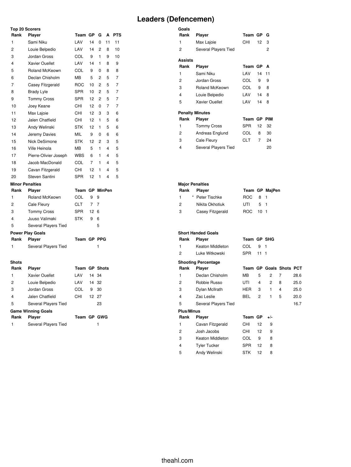## **Leaders (Defencemen)**

| Top 20 Scorers          |                           |                      |                |                |    |                |
|-------------------------|---------------------------|----------------------|----------------|----------------|----|----------------|
| Rank                    | Player                    | Team GP              |                | G              | A  | <b>PTS</b>     |
| 1                       | Sami Niku                 | LAV                  | 14             | 0              | 11 | 11             |
| $\overline{c}$          | Louie Belpedio            | LAV                  | 14             | $\overline{2}$ | 8  | 10             |
| 3                       | Jordan Gross              | COL                  | 9              | 1              | 9  | 10             |
| 4                       | Xavier Ouellet            | LAV                  | 14             | 1              | 8  | 9              |
| 5                       | Roland McKeown            | COL                  | 9              | 0              | 8  | 8              |
| 6                       | Declan Chisholm           | <b>MB</b>            | 5              | $\overline{c}$ | 5  | $\overline{7}$ |
| 7                       | Casey Fitzgerald          | <b>ROC</b>           | 10             | $\overline{c}$ | 5  | 7              |
| 8                       | <b>Brady Lyle</b>         | <b>SPR</b>           | 10             | $\overline{c}$ | 5  | $\overline{7}$ |
| 9                       | <b>Tommy Cross</b>        | <b>SPR</b>           | 12             | $\overline{2}$ | 5  | 7              |
| 10                      | Joey Keane                | CHI                  | 12             | 0              | 7  | $\overline{7}$ |
| 11                      | Max Lajoie                | CHI                  | 12             | 3              | 3  | 6              |
| 12                      | Jalen Chatfield           | <b>CHI</b>           | 12             | 1              | 5  | 6              |
| 13                      | Andy Welinski             | <b>STK</b>           | 12             | 1              | 5  | 6              |
| 14                      | Jeremy Davies             | <b>MIL</b>           | 9              | 0              | 6  | 6              |
| 15                      | Nick DeSimone             | <b>STK</b>           | 12             | $\overline{c}$ | 3  | 5              |
| 16                      | Ville Heinola             | MВ                   | 5              | 1              | 4  | 5              |
| 17                      | Pierre-Olivier Joseph     | <b>WBS</b>           | 6              | 1              | 4  | 5              |
| 18                      | Jacob MacDonald           | COL                  | $\overline{7}$ | 1              | 4  | 5              |
| 19                      | Cavan Fitzgerald          | CHI                  | 12             | 1              | 4  | 5              |
| 20                      | Steven Santini            | <b>SPR</b>           | 12             | 1              | 4  | 5              |
| <b>Minor Penalties</b>  |                           |                      |                |                |    |                |
| Rank                    | Player                    | Team GP MinPen       |                |                |    |                |
| 1                       | Roland McKeown            | COL                  | 9              | 9              |    |                |
| 2                       | Cale Fleury               | <b>CLT</b>           | $\overline{7}$ | $\overline{7}$ |    |                |
| 3                       | <b>Tommy Cross</b>        | <b>SPR</b>           | 12             | 6              |    |                |
| $\overline{\mathbf{4}}$ | Juuso Valimaki            | <b>STK</b>           | 9              | 6              |    |                |
| 5                       | Several Players Tied      |                      |                | 5              |    |                |
|                         | <b>Power Play Goals</b>   |                      |                |                |    |                |
| Rank                    | Player                    | Team GP PPG          |                |                |    |                |
| 1                       | Several Players Tied      |                      |                | 1              |    |                |
| <b>Shots</b>            |                           |                      |                |                |    |                |
| Rank                    | Player                    | <b>Team GP Shots</b> |                |                |    |                |
| 1                       | <b>Xavier Ouellet</b>     | LAV                  | 14             | 34             |    |                |
| 2                       | Louie Belpedio            | LAV                  | 14             | 32             |    |                |
| 3                       | Jordan Gross              | COL                  | 9              | 30             |    |                |
| 4                       | Jalen Chatfield           | CHI                  | 12             | 27             |    |                |
| 5                       | Several Players Tied      |                      |                | 23             |    |                |
|                         | <b>Game Winning Goals</b> |                      |                |                |    |                |

| Rank Plaver          | Team GP GWG |  |
|----------------------|-------------|--|
| Several Players Tied |             |  |
|                      |             |  |

| Goals                  |                       |            |                |            |
|------------------------|-----------------------|------------|----------------|------------|
| Rank                   | Player                | Team GP    |                | G          |
| 1                      | Max Lajoie            | CHI        | 12             | 3          |
| 2                      | Several Players Tied  |            |                | 2          |
| Assists                |                       |            |                |            |
| Rank                   | Player                | Team GP    |                | A          |
| 1                      | Sami Niku             | LAV        | 14             | 11         |
| 2                      | Jordan Gross          | COL        | 9              | 9          |
| 3                      | <b>Roland McKeown</b> | COL        | 9              | 8          |
| 4                      | Louie Belpedio        | LAV        | 14             | 8          |
| 5                      | Xavier Ouellet        | LAV        | 14             | 8          |
| <b>Penalty Minutes</b> |                       |            |                |            |
| Rank                   | Player                | Team GP    |                | <b>PIM</b> |
| 1                      | <b>Tommy Cross</b>    | <b>SPR</b> | 12             | 32         |
| $\overline{c}$         | Andreas Englund       | COL        | 8              | 30         |
| 3                      | Cale Fleury           | CLT.       | $\overline{7}$ | 24         |
| 4                      | Several Players Tied  |            |                | 20         |

| <b>Major Penalties</b> |  |                  |          |     |                |  |  |
|------------------------|--|------------------|----------|-----|----------------|--|--|
| Rank                   |  | Player           |          |     | Team GP MajPen |  |  |
| $\mathbf{1}$           |  | * Peter Tischke  | ROC 8 1  |     |                |  |  |
| $\mathcal{P}$          |  | Nikita Okhotiuk  | UTL      | 5 1 |                |  |  |
| 3                      |  | Casey Fitzgerald | ROC 10 1 |     |                |  |  |

|                   | <b>Short Handed Goals</b>  |             |     |                         |   |      |
|-------------------|----------------------------|-------------|-----|-------------------------|---|------|
| Rank              | Player                     | Team GP SHG |     |                         |   |      |
| 1                 | Keaton Middleton           | COL         | 9   | 1                       |   |      |
| 2                 | Luke Witkowski             | <b>SPR</b>  | 111 |                         |   |      |
|                   | <b>Shooting Percentage</b> |             |     |                         |   |      |
| Rank              | Player                     |             |     | Team GP Goals Shots PCT |   |      |
| 1                 | Declan Chisholm            | MВ          | 5   | 2                       | 7 | 28.6 |
| 2                 | Robbie Russo               | UTI         | 4   | 2                       | 8 | 25.0 |
| 3                 | Dylan McIlrath             | HER         | 3   | 1                       | 4 | 25.0 |
| 4                 | Zac Leslie                 | <b>BEL</b>  | 2   | 1                       | 5 | 20.0 |
| 5                 | Several Players Tied       |             |     |                         |   | 16.7 |
| <b>Plus/Minus</b> |                            |             |     |                         |   |      |
| Rank              | Player                     | Team GP     |     | $+/-$                   |   |      |
| 1                 | Cavan Fitzgerald           | CHI         | 12  | 9                       |   |      |
| 2                 | Josh Jacobs                | CHI         | 12  | 9                       |   |      |
| 3                 | Keaton Middleton           | COL         | 9   | 8                       |   |      |
| 4                 | <b>Tyler Tucker</b>        | <b>SPR</b>  | 12  | 8                       |   |      |
| 5                 | Andy Welinski              | STK         | 12  | 8                       |   |      |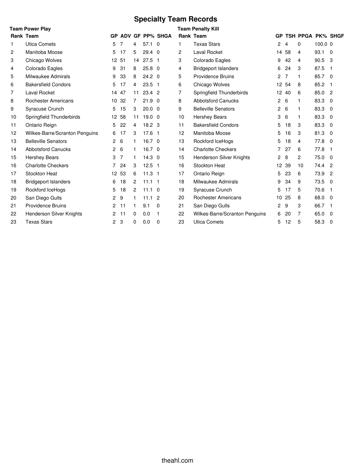# **Specialty Team Records**

|    | <b>Team Power Play</b>         |                |       |    |                   |                           |    | <b>Team Penalty Kill</b>       |                |       |                          |           |                |
|----|--------------------------------|----------------|-------|----|-------------------|---------------------------|----|--------------------------------|----------------|-------|--------------------------|-----------|----------------|
|    | <b>Rank Team</b>               |                |       |    |                   | <b>GP ADV GF PP% SHGA</b> |    | <b>Rank Team</b>               | <b>GP</b>      |       | <b>TSH PPGA PK% SHGF</b> |           |                |
| 1. | <b>Utica Comets</b>            | 5              | 7     | 4  | $57.1 \quad 0$    |                           | 1  | <b>Texas Stars</b>             | $\mathbf{2}$   | 4     | $\Omega$                 | $100.0$ 0 |                |
| 2  | Manitoba Moose                 | 5              | 17    | 5. | $29.4\quad0$      |                           | 2  | Laval Rocket                   | 14             | 58    | 4                        | 93.1      | $\Omega$       |
| 3  | Chicago Wolves                 |                | 12 51 | 14 | $27.5$ 1          |                           | 3  | Colorado Eagles                | 9              | 42    | 4                        | 90.5      | 3              |
| 4  | Colorado Eagles                | 9              | 31    | 8  | 25.8              | $\mathbf 0$               | 4  | <b>Bridgeport Islanders</b>    | 6              | 24    | 3                        | 87.5      | $\overline{1}$ |
| 5  | Milwaukee Admirals             | 9              | 33    | 8  | $24.2 \quad 0$    |                           | 5  | <b>Providence Bruins</b>       | $\overline{2}$ | 7     | $\mathbf{1}$             | 85.7      | $\overline{0}$ |
| 6  | <b>Bakersfield Condors</b>     | 5              | 17    | 4  | $23.5 \quad 1$    |                           | 6  | Chicago Wolves                 |                | 12 54 | 8                        | 85.2      | $\overline{1}$ |
| 7  | Laval Rocket                   | 14             | 47    | 11 | $23.4$ 2          |                           | 7  | Springfield Thunderbirds       |                | 12 40 | 6                        | 85.0      | $\overline{2}$ |
| 8  | <b>Rochester Americans</b>     |                | 10 32 | 7  | 21.9              | $\Omega$                  | 8  | <b>Abbotsford Canucks</b>      | $\overline{2}$ | 6     | 1                        | 83.3      | $\Omega$       |
| 9  | Syracuse Crunch                | 5              | 15    | 3  | $20.0 \quad 0$    |                           | 9  | <b>Belleville Senators</b>     | 2              | 6     | $\mathbf{1}$             | 83.3      | $\Omega$       |
| 10 | Springfield Thunderbirds       |                | 12 58 | 11 | 19.0              | $\mathbf 0$               | 10 | <b>Hershey Bears</b>           | 3              | 6     | 1                        | 83.3      | $\Omega$       |
| 11 | Ontario Reign                  | 5              | 22    | 4  | 18.2 <sub>3</sub> |                           | 11 | <b>Bakersfield Condors</b>     | 5              | 18    | 3                        | 83.3      | $\Omega$       |
| 12 | Wilkes-Barre/Scranton Penguins | 6              | 17    | 3  | 17.6 <sub>1</sub> |                           | 12 | Manitoba Moose                 | 5              | 16    | 3                        | 81.3      | $\Omega$       |
| 13 | <b>Belleville Senators</b>     | $\mathbf{2}$   | 6     |    | $16.7 \quad 0$    |                           | 13 | Rockford IceHogs               | 5              | 18    | 4                        | 77.8      | $\Omega$       |
| 14 | <b>Abbotsford Canucks</b>      | $\overline{2}$ | 6     | 1  | $16.7 \quad 0$    |                           | 14 | <b>Charlotte Checkers</b>      | 7              | 27    | 6                        | 77.8      | $\overline{1}$ |
| 15 | <b>Hershey Bears</b>           | 3              | 7     |    | $14.3 \quad 0$    |                           | 15 | Henderson Silver Knights       | $\overline{c}$ | 8     | $\overline{c}$           | 75.0      | $\overline{0}$ |
| 16 | <b>Charlotte Checkers</b>      | $\overline{7}$ | 24    | 3  | $12.5$ 1          |                           | 16 | Stockton Heat                  |                | 12 39 | 10                       | 74.4      | $\overline{2}$ |
| 17 | Stockton Heat                  |                | 12 53 | 6  | $11.3$ 1          |                           | 17 | Ontario Reign                  | 5              | 23    | 6                        | 73.9      | $\overline{2}$ |
| 18 | <b>Bridgeport Islanders</b>    | 6              | 18    | 2  | $11.1$ 1          |                           | 18 | Milwaukee Admirals             | 9              | 34    | 9                        | 73.5      | $\Omega$       |
| 19 | Rockford IceHogs               | 5              | 18    | 2  | $11.1 \quad 0$    |                           | 19 | <b>Syracuse Crunch</b>         | 5              | 17    | 5                        | 70.6      | $\overline{1}$ |
| 20 | San Diego Gulls                | $\overline{2}$ | 9     |    | 11.1              | 2                         | 20 | <b>Rochester Americans</b>     |                | 10 25 | 8                        | 68.0      | $\overline{0}$ |
| 21 | <b>Providence Bruins</b>       |                | 2, 11 | 1  | 9.1               | 0                         | 21 | San Diego Gulls                | 2              | 9     | 3                        | 66.7      | $\mathbf{1}$   |
| 22 | Henderson Silver Knights       | 2              | 11    | 0  | 0.0               | 1                         | 22 | Wilkes-Barre/Scranton Penguins | 6              | 20    | 7                        | 65.0      | $\Omega$       |
| 23 | <b>Texas Stars</b>             | $\overline{2}$ | 3     | 0  | 0.0               | 0                         | 23 | <b>Utica Comets</b>            | 5              | 12    | 5                        | 58.3      | $\overline{0}$ |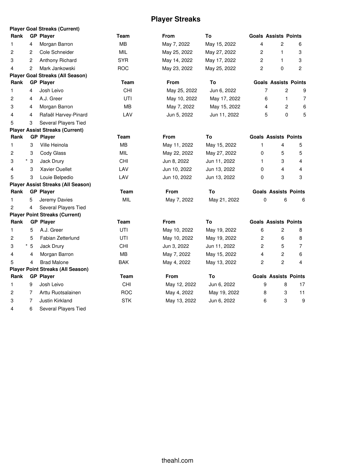## **Player Streaks**

|      |                          | <b>Player Goal Streaks (Current)</b>      |            |              |              |                |                             |                |
|------|--------------------------|-------------------------------------------|------------|--------------|--------------|----------------|-----------------------------|----------------|
| Rank |                          | <b>GP Player</b>                          | Team       | <b>From</b>  | To           |                | <b>Goals Assists Points</b> |                |
| 1    | 4                        | Morgan Barron                             | MВ         | May 7, 2022  | May 15, 2022 | 4              | 2                           | 6              |
| 2    | 2                        | Cole Schneider                            | MIL        | May 25, 2022 | May 27, 2022 | $\overline{c}$ | 1                           | 3              |
| 3    | 2                        | Anthony Richard                           | <b>SYR</b> | May 14, 2022 | May 17, 2022 | 2              | 1                           | 3              |
| 4    | 2                        | Mark Jankowski                            | <b>ROC</b> | May 23, 2022 | May 25, 2022 | 2              | 0                           | $\overline{c}$ |
|      |                          | <b>Player Goal Streaks (All Season)</b>   |            |              |              |                |                             |                |
| Rank |                          | <b>GP Player</b>                          | Team       | From         | To           |                | <b>Goals Assists Points</b> |                |
| 1    | 4                        | Josh Leivo                                | <b>CHI</b> | May 25, 2022 | Jun 6, 2022  | 7              | 2                           | 9              |
| 2    | 4                        | A.J. Greer                                | UTI        | May 10, 2022 | May 17, 2022 | 6              | 1                           | 7              |
| 3    | 4                        | Morgan Barron                             | <b>MB</b>  | May 7, 2022  | May 15, 2022 | 4              | 2                           | 6              |
| 4    | 4                        | Rafaël Harvey-Pinard                      | LAV        | Jun 5, 2022  | Jun 11, 2022 | 5              | 0                           | 5              |
| 5    | 3                        | Several Players Tied                      |            |              |              |                |                             |                |
|      |                          | <b>Player Assist Streaks (Current)</b>    |            |              |              |                |                             |                |
| Rank |                          | <b>GP Player</b>                          | Team       | <b>From</b>  | To           |                | <b>Goals Assists Points</b> |                |
| 1    | 3                        | Ville Heinola                             | MВ         | May 11, 2022 | May 15, 2022 | 1              | 4                           | 5              |
| 2    | 3                        | Cody Glass                                | MIL        | May 22, 2022 | May 27, 2022 | 0              | 5                           | 5              |
| 3    | $^{\star}$<br>$\sqrt{3}$ | Jack Drury                                | CHI        | Jun 8, 2022  | Jun 11, 2022 | 1              | 3                           | 4              |
| 4    | 3                        | <b>Xavier Ouellet</b>                     | LAV        | Jun 10, 2022 | Jun 13, 2022 | 0              | 4                           | 4              |
| 5    | 3                        | Louie Belpedio                            | LAV        | Jun 10, 2022 | Jun 13, 2022 | 0              | 3                           | 3              |
|      |                          | <b>Player Assist Streaks (All Season)</b> |            |              |              |                |                             |                |
| Rank |                          | <b>GP Player</b>                          | Team       | <b>From</b>  | To           |                | <b>Goals Assists Points</b> |                |
| 1    | 5                        | Jeremy Davies                             | MIL        | May 7, 2022  | May 21, 2022 | 0              | 6                           | 6              |
| 2    | 4                        | Several Players Tied                      |            |              |              |                |                             |                |
|      |                          | <b>Player Point Streaks (Current)</b>     |            |              |              |                |                             |                |
| Rank |                          | <b>GP Player</b>                          | Team       | From         | To           |                | <b>Goals Assists Points</b> |                |
| 1    | 5                        | A.J. Greer                                | UTI        | May 10, 2022 | May 19, 2022 | 6              | 2                           | 8              |
| 2    | 5                        | Fabian Zetterlund                         | UTI        | May 10, 2022 | May 19, 2022 | 2              | 6                           | 8              |
| 3    | $^\star$<br>5            | Jack Drury                                | CHI        | Jun 3, 2022  | Jun 11, 2022 | $\overline{c}$ | 5                           | 7              |
| 4    | 4                        | Morgan Barron                             | MВ         | May 7, 2022  | May 15, 2022 | 4              | 2                           | 6              |
| 5    | 4                        | <b>Brad Malone</b>                        | <b>BAK</b> | May 4, 2022  | May 13, 2022 | $\overline{c}$ | $\overline{c}$              | 4              |
|      |                          | <b>Player Point Streaks (All Season)</b>  |            |              |              |                |                             |                |
| Rank |                          | <b>GP Player</b>                          | Team       | From         | To           |                | <b>Goals Assists Points</b> |                |
| 1    | 9                        | Josh Leivo                                | CHI        | May 12, 2022 | Jun 6, 2022  | 9              | 8                           | 17             |
| 2    | 7                        | Arttu Ruotsalainen                        | <b>ROC</b> | May 4, 2022  | May 19, 2022 | 8              | 3                           | 11             |
| 3    | 7                        | Justin Kirkland                           | <b>STK</b> | May 13, 2022 | Jun 6, 2022  | 6              | 3                           | 9              |
|      |                          |                                           |            |              |              |                |                             |                |

6 Several Players Tied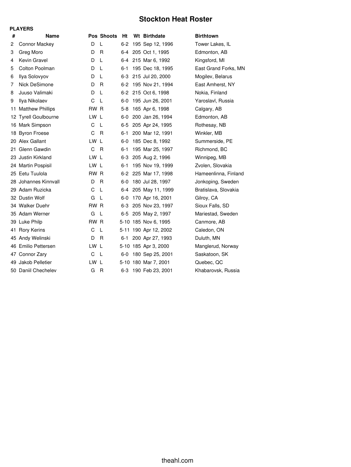## **Stockton Heat Roster**

|    | <b>PLAYERS</b>          |      |              |         |                       |                      |
|----|-------------------------|------|--------------|---------|-----------------------|----------------------|
| #  | <b>Name</b>             |      | Pos Shoots   | Ht      | Wt Birthdate          | <b>Birthtown</b>     |
| 2  | <b>Connor Mackey</b>    | D    | L            | $6-2$   | 195 Sep 12, 1996      | Tower Lakes, IL      |
| 3  | Greg Moro               | D    | R            | 6-4     | 205 Oct 1, 1995       | Edmonton, AB         |
| 4  | Kevin Gravel            | D    | L            |         | 6-4 215 Mar 6, 1992   | Kingsford, MI        |
| 5  | Colton Poolman          | D    | L            | 6-1     | 195 Dec 18, 1995      | East Grand Forks, MN |
| 6  | Ilya Solovyov           | D    | L            | 6-3     | 215 Jul 20, 2000      | Mogilev, Belarus     |
| 7  | Nick DeSimone           | D    | R            | $6-2$   | 195 Nov 21, 1994      | East Amherst, NY     |
| 8  | Juuso Valimaki          | D    | L            | $6-2$   | 215 Oct 6, 1998       | Nokia, Finland       |
| 9  | Ilya Nikolaev           | C    | L            | 6-0     | 195 Jun 26, 2001      | Yaroslavl, Russia    |
| 11 | <b>Matthew Phillips</b> | RW R |              | $5 - 8$ | 165 Apr 6, 1998       | Calgary, AB          |
|    | 12 Tyrell Goulbourne    | LW L |              | $6-0$   | 200 Jan 26, 1994      | Edmonton, AB         |
|    | 16 Mark Simpson         | C    | L            | 6-5     | 205 Apr 24, 1995      | Rothesay, NB         |
|    | 18 Byron Froese         | C    | R            | 6-1     | 200 Mar 12, 1991      | Winkler, MB          |
|    | 20 Alex Gallant         | LW L |              | 6-0     | 185 Dec 8, 1992       | Summerside, PE       |
|    | 21 Glenn Gawdin         | C    | R.           | $6 - 1$ | 195 Mar 25, 1997      | Richmond, BC         |
|    | 23 Justin Kirkland      | LW L |              | $6-3$   | 205 Aug 2, 1996       | Winnipeg, MB         |
|    | 24 Martin Pospisil      | LW L |              | 6-1     | 195 Nov 19, 1999      | Zvolen, Slovakia     |
|    | 25 Eetu Tuulola         | RW R |              | $6-2$   | 225 Mar 17, 1998      | Hameenlinna, Finland |
|    | 28 Johannes Kinnvall    | D    | R            | 6-0     | 180 Jul 28, 1997      | Jonkoping, Sweden    |
|    | 29 Adam Ruzicka         | C    | L            | 6-4     | 205 May 11, 1999      | Bratislava, Slovakia |
|    | 32 Dustin Wolf          | G    | L            | 6-0     | 170 Apr 16, 2001      | Gilroy, CA           |
|    | 34 Walker Duehr         | RW R |              | $6-3$   | 205 Nov 23, 1997      | Sioux Falls, SD      |
|    | 35 Adam Werner          | G    | L            | 6-5     | 205 May 2, 1997       | Mariestad, Sweden    |
|    | 39 Luke Philp           | RW R |              |         | 5-10 185 Nov 6, 1995  | Canmore, AB          |
|    | 41 Rory Kerins          | C    | L            |         | 5-11 190 Apr 12, 2002 | Caledon, ON          |
|    | 45 Andy Welinski        | D    | R.           | $6 - 1$ | 200 Apr 27, 1993      | Duluth, MN           |
|    | 46 Emilio Pettersen     | LW L |              |         | 5-10 185 Apr 3, 2000  | Manglerud, Norway    |
|    | 47 Connor Zary          | C    | -L           | 6-0     | 180 Sep 25, 2001      | Saskatoon, SK        |
|    | 49 Jakob Pelletier      | LW L |              |         | 5-10 180 Mar 7, 2001  | Quebec, QC           |
|    | 50 Daniil Chechelev     | G    | $\mathsf{R}$ | 6-3     | 190 Feb 23, 2001      | Khabarovsk, Russia   |
|    |                         |      |              |         |                       |                      |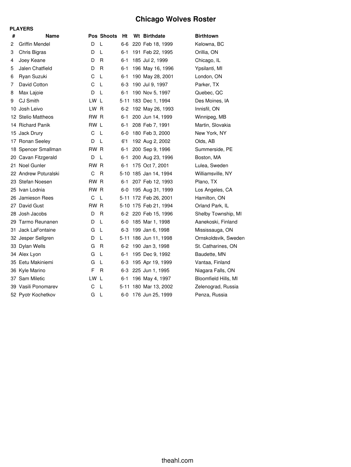## **Chicago Wolves Roster**

|     | <b>PLAYERS</b>         |      |              |         |                       |                      |
|-----|------------------------|------|--------------|---------|-----------------------|----------------------|
| #   | <b>Name</b>            |      | Pos Shoots   | Ht      | Wt Birthdate          | <b>Birthtown</b>     |
| 2   | <b>Griffin Mendel</b>  | D    | L            | 6-6     | 220 Feb 18, 1999      | Kelowna, BC          |
| 3   | Chris Bigras           | D    | L            | 6-1     | 191 Feb 22, 1995      | Orillia, ON          |
| 4   | Joey Keane             | D    | R            | 6-1     | 185 Jul 2, 1999       | Chicago, IL          |
| 5   | Jalen Chatfield        | D    | R            | 6-1     | 196 May 16, 1996      | Ypsilanti, MI        |
| 6   | Ryan Suzuki            | С    | L            | $6 - 1$ | 190 May 28, 2001      | London, ON           |
| 7   | David Cotton           | С    | L            | 6-3     | 190 Jul 9, 1997       | Parker, TX           |
| 8   | Max Lajoie             | D    | L            | 6-1     | 190 Nov 5, 1997       | Quebec, QC           |
| 9   | CJ Smith               | LW L |              |         | 5-11 183 Dec 1, 1994  | Des Moines, IA       |
| 10  | Josh Leivo             | LW.  | <b>R</b>     | $6 - 2$ | 192 May 26, 1993      | Innisfil, ON         |
| 12. | <b>Stelio Mattheos</b> | RW R |              | 6-1     | 200 Jun 14, 1999      | Winnipeg, MB         |
|     | 14 Richard Panik       | RW L |              | 6-1     | 208 Feb 7, 1991       | Martin, Slovakia     |
| 15  | Jack Drury             | C    | L            | $6-0$   | 180 Feb 3, 2000       | New York, NY         |
| 17  | Ronan Seeley           | D    | L            | 6'1     | 192 Aug 2, 2002       | Olds, AB             |
|     | 18 Spencer Smallman    | rw r |              | 6-1     | 200 Sep 9, 1996       | Summerside, PE       |
|     | 20 Cavan Fitzgerald    | D    | L            | 6-1     | 200 Aug 23, 1996      | Boston, MA           |
|     | 21 Noel Gunler         | RW R |              | 6-1     | 175 Oct 7, 2001       | Lulea, Sweden        |
|     | 22 Andrew Poturalski   | С    | $\mathsf{R}$ |         | 5-10 185 Jan 14, 1994 | Williamsville, NY    |
|     | 23 Stefan Noesen       | RW   | R.           | 6-1     | 207 Feb 12, 1993      | Plano, TX            |
|     | 25 Ivan Lodnia         | RW.  | $\mathsf{R}$ | 6-0     | 195 Aug 31, 1999      | Los Angeles, CA      |
|     | 26 Jamieson Rees       | C    | L            |         | 5-11 172 Feb 26, 2001 | Hamilton, ON         |
|     | 27 David Gust          | RW.  | R            |         | 5-10 175 Feb 21, 1994 | Orland Park, IL      |
| 28  | Josh Jacobs            | D    | R            |         | 6-2 220 Feb 15, 1996  | Shelby Township, MI  |
| 29  | Tarmo Reunanen         | D    | L            | 6-0     | 185 Mar 1, 1998       | Aanekoski, Finland   |
| 31  | Jack LaFontaine        | G    | L            | 6-3     | 199 Jan 6, 1998       | Mississauga, ON      |
|     | 32 Jesper Sellgren     | D    | L            |         | 5-11 186 Jun 11, 1998 | Ornskoldsvik, Sweden |
|     | 33 Dylan Wells         | G    | R            | $6 - 2$ | 190 Jan 3, 1998       | St. Catharines, ON   |
|     | 34 Alex Lyon           | G    | L            | 6-1     | 195 Dec 9, 1992       | Baudette, MN         |
|     | 35 Eetu Makiniemi      | G    | L            | 6-3     | 195 Apr 19, 1999      | Vantaa, Finland      |
|     | 36 Kyle Marino         | F    | R            | $6-3$   | 225 Jun 1, 1995       | Niagara Falls, ON    |
|     | 37 Sam Miletic         | LW   | L            | 6-1     | 196 May 4, 1997       | Bloomfield Hills, MI |
|     | 39 Vasili Ponomarev    | С    | L            |         | 5-11 180 Mar 13, 2002 | Zelenograd, Russia   |
|     | 52 Pyotr Kochetkov     | G    | L            | 6-0     | 176 Jun 25, 1999      | Penza, Russia        |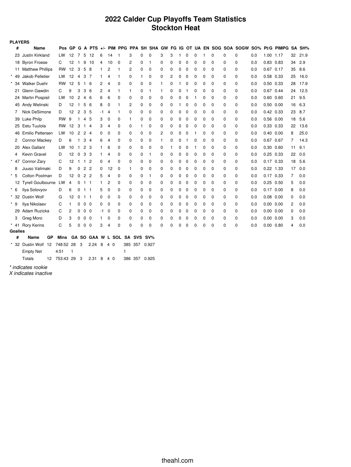## **2022 Calder Cup Playoffs Team Statistics Stockton Heat**

| <b>PLAYERS</b> |                         |           |        |                |                |                |    |    |                          |             |          |          |             |   |          |             |             |          |             |             |          |     |               |                                                                  |    |      |
|----------------|-------------------------|-----------|--------|----------------|----------------|----------------|----|----|--------------------------|-------------|----------|----------|-------------|---|----------|-------------|-------------|----------|-------------|-------------|----------|-----|---------------|------------------------------------------------------------------|----|------|
| #              | Name                    |           | Pos GP | G              | A              | PTS $+/-$      |    |    |                          |             |          |          |             |   |          |             |             |          |             |             |          |     |               | PIM PPG PPA SH SHA GW FG IG OT UA EN SOG SOA SOGW SO% Pt/G PIMPG | SΑ | SH%  |
| 23             | Justin Kirkland         | LW        | 12     | 7              | 5              | 12             | 6  | 14 | f                        | 3           | 0        | 0        | 3           | 3 | 1        | $\mathbf 0$ | 0           | 1        | $\mathbf 0$ | 0           | 0        | 0.0 | 1.00 1.17     |                                                                  | 32 | 21.9 |
| 18             | <b>Byron Froese</b>     | C         | 12     | $\mathbf{1}$   | 9              | 10             | 4  | 10 | 0                        | 2           | 0        | 1        | 0           | 0 | 0        | 0           | 0           | 0        | 0           | 0           | 0        | 0.0 | 0.83          | 0.83                                                             | 34 | 2.9  |
|                | 11 Matthew Phillips     | <b>RW</b> | 12     | 3              | 5              | 8              | 1  | 2  | 1                        | 2           | 0        | 0        | 0           | 0 | 0        | 0           | $\mathbf 0$ | 0        | $\mathbf 0$ | 0           | 0        | 0.0 | 0.67          | 0.17                                                             | 35 | 8.6  |
| $\star$<br>49  | Jakob Pelletier         | LW        | 12     | $\overline{4}$ | 3              | 7              | 1  | 4  | 1                        | $\Omega$    | 1        | 0        | 0           | 2 | 0        | 0           | $\mathbf 0$ | 0        | $\mathbf 0$ | $\mathbf 0$ | 0        | 0.0 | 0.58          | 0.33                                                             | 25 | 16.0 |
| $\star$<br>-34 | <b>Walker Duehr</b>     | RW        | 12     | 5              | $\mathbf{1}$   | 6              | 2  | 4  | 0                        | 0           | 0        | 0        | 1           | 0 | 1        | 0           | 0           | 0        | 0           | 0           | 0        | 0.0 | 0.50          | 0.33                                                             | 28 | 17.9 |
| 21             | Glenn Gawdin            | С         | 9      | 3              | 3              | 6              | 2  | 4  | 1                        | 1           | 0        | 1        | 1           | 0 | 0        | 1           | 0           | 0        | $\mathbf 0$ | 0           | 0        | 0.0 | 0.67          | 0.44                                                             | 24 | 12.5 |
|                | 24 Martin Pospisil      | LW        | 10     | 2              | 4              | -6             | 6  | 6  | 0                        | 0           | 0        | 0        | 0           | 0 | 0        | 0           | 1           | 0        | $\mathbf 0$ | $\mathbf 0$ | 0        | 0.0 | 0.60          | 0.60                                                             | 21 | 9.5  |
| 45             | Andy Welinski           | D         | 12     | $\mathbf{1}$   | 5              | 6              | 8  | 0  | 1                        | 2           | 0        | 0        | 0           | 0 | 1        | 0           | 0           | 0        | $\mathbf 0$ | $\mathbf 0$ | 0        | 0.0 | 0.50          | 0.00                                                             | 16 | 6.3  |
| 7              | Nick DeSimone           | D         | 12     | $\overline{c}$ | 3              | 5              | -1 | 4  | 1                        | 0           | 0        | 0        | 0           | 0 | 0        | 0           | 0           | 0        | $\mathbf 0$ | 0           | 0        | 0.0 | $0.42$ 0.33   |                                                                  | 23 | 8.7  |
| 39             | Luke Philp              | <b>RW</b> | 9      | 1              | 4              | 5              | 3  | 0  | 0                        | 1           | 0        | 0        | $\mathbf 0$ | 0 | 0        | 0           | 0           | 0        | $\mathbf 0$ | 0           | 0        | 0.0 | 0.56          | 0.00                                                             | 18 | 5.6  |
| 25             | Eetu Tuulola            | RW        | 12     | 3              | 1              | $\overline{4}$ | 3  | 4  | 0                        | 0           | 1        | 0        | 0           | 0 | 0        | 0           | 0           | 0        | $\mathbf 0$ | $\mathbf 0$ | 0        | 0.0 | 0.33          | 0.33                                                             | 22 | 13.6 |
| 46             | <b>Emilio Pettersen</b> | LW        | 10     | 2              | 2 <sub>4</sub> |                | 0  | 0  | 0                        | $\mathbf 0$ | 0        | 0        | 2           | 0 | 0        | 0           | 1           | 0        | $\mathbf 0$ | $\mathbf 0$ | 0        | 0.0 | $0.40$ $0.00$ |                                                                  | 8  | 25.0 |
| 2              | <b>Connor Mackey</b>    | D         | 6      | 1              | 3              | $\overline{4}$ | 6  | 4  | 0                        | 0           | 0        | 0        | 1           | 0 | 0        | 1           | 0           | 0        | $\mathbf 0$ | 0           | 0        | 0.0 | 0.67          | 0.67                                                             | 7  | 14.3 |
| 20             | Alex Gallant            | LW        | 10     | $\mathbf{1}$   | $\overline{c}$ | 3              | 1  | 6  | 0                        | 0           | 0        | 0        | $\mathbf 0$ |   | 0        | 0           | 1           | 0        | $\mathbf 0$ | 0           | 0        | 0.0 | 0.30          | 0.60                                                             | 11 | 9.1  |
| 4              | Kevin Gravel            | D         | 12     | $\mathbf 0$    | 3              | 3              | 1  | 4  | 0                        | 0           | 0        | 1        | 0           | 0 | 0        | 0           | 0           | 0        | $\mathbf 0$ | $\mathbf 0$ | 0        | 0.0 | 0.25          | 0.33                                                             | 22 | 0.0  |
| $\star$<br>47  | Connor Zary             | C         | 12     |                | $1\quad1$      | $\overline{c}$ | 0  | 4  | 0                        | 0           | 0        | 0        | $\mathbf 0$ | 0 | 0        | $\mathbf 0$ | 0           | 0        | $\mathbf 0$ | $\mathbf 0$ | 0        | 0.0 | $0.17$ 0.33   |                                                                  | 18 | 5.6  |
| 8              | Juuso Valimaki          | D         | 9      | 0              | 2              | $\overline{c}$ | 0  | 12 | $\mathbf 0$              | 1           | 0        | 0        | $\mathbf 0$ | 0 | 0        | 0           | 0           | 0        | $\mathbf 0$ | $\mathbf 0$ | 0        | 0.0 | 0.22          | 1.33                                                             | 17 | 0.0  |
| $\star$<br>-5  | Colton Poolman          | D         | 12     | 0              | $\overline{c}$ | $\overline{c}$ | 5  | 4  | 0                        | 0           | 0        | 1        | 0           | 0 | 0        | $\mathbf 0$ | 0           | 0        | $\mathbf 0$ | 0           | 0        | 0.0 | 0.17 0.33     |                                                                  | 7  | 0.0  |
|                | 12 Tyrell Goulbourne LW |           | 4      | 0              | $\mathbf{1}$   | -1             | 1  | 2  | 0                        | 0           | 0        | 0        | $\mathbf 0$ | 0 | 0        | $\mathbf 0$ | 0           | 0        | $\mathbf 0$ | $\mathbf 0$ | 0        | 0.0 | 0.25          | 0.50                                                             | 5  | 0.0  |
| $^\star$<br>6  | Ilya Solovyov           | D         | 6      | 0              | $1 \quad 1$    |                | 5  | 0  | 0                        | $\mathbf 0$ | 0        | 0        | $\mathbf 0$ | 0 | 0        | 0           | $\Omega$    | 0        | $\mathbf 0$ | $\mathbf 0$ | $\Omega$ | 0.0 | $0.17$ 0.00   |                                                                  | 8  | 0.0  |
| 32             | <b>Dustin Wolf</b>      | G         | 12     | 0              | $1 \quad 1$    |                | 0  | 0  | 0                        | 0           | 0        | 0        | 0           | 0 | 0        | 0           | 0           | 0        | $\mathbf 0$ | $\mathbf 0$ | 0        | 0.0 | 0.08          | 0.00                                                             | 0  | 0.0  |
| $\star$<br>-9  | Ilya Nikolaev           | C         | 1      | 0              | $\mathbf 0$    | $\mathbf 0$    | 0  | 0  | 0                        | 0           | 0        | 0        | $\mathbf 0$ | 0 | 0        | 0           | 0           | 0        | $\mathbf 0$ | 0           | 0        | 0.0 | 0.00 0.00     |                                                                  | 2  | 0.0  |
| 29             | Adam Ruzicka            | C         | 2      | 0              | 0              | $\mathbf 0$    | -1 | 0  | 0                        | 0           | 0        | 0        | $\mathbf 0$ | 0 | 0        | 0           | 0           | 0        | $\mathbf 0$ | 0           | 0        | 0.0 | 0.00          | 0.00                                                             | 0  | 0.0  |
| 3              | Greg Moro               | D         | 3      | 0              | 0              | $\mathbf 0$    | 1  | 0  | 0                        | $\mathbf 0$ | 0        | 0        | 0           | 0 | 0        | $\mathbf 0$ | $\Omega$    | 0        | $\mathbf 0$ | 0           | 0        | 0.0 | 0.00          | 0.00                                                             | 3  | 0.0  |
| $*$ 41         | <b>Rory Kerins</b>      | C         | 5      | $\Omega$       | 0              | $\mathbf 0$    | 3  | 4  | 0                        | $\Omega$    | $\Omega$ | $\Omega$ | $\Omega$    | 0 | $\Omega$ | $\mathbf 0$ | 0           | $\Omega$ | $\Omega$    | 0           | $\Omega$ | 0.0 | 0.00          | 0.80                                                             | 4  | 0.0  |
| <b>Goalies</b> |                         |           |        |                |                |                |    |    |                          |             |          |          |             |   |          |             |             |          |             |             |          |     |               |                                                                  |    |      |
| #              | Name<br>GP              | Mins      |        |                |                |                |    |    | GA SO GAA W L SOL SA SVS |             |          | SV%      |             |   |          |             |             |          |             |             |          |     |               |                                                                  |    |      |
| $^\star$<br>32 | Dustin Wolf 12          | 748:52 28 |        | 3              |                | 2.24           | 8  | 40 |                          | 385 357     |          | 0.927    |             |   |          |             |             |          |             |             |          |     |               |                                                                  |    |      |
|                | <b>Empty Net</b>        | 4:51      | 1      |                |                |                |    |    | 1                        |             |          |          |             |   |          |             |             |          |             |             |          |     |               |                                                                  |    |      |

Totals 12 753:43 29 3 2.31 8 4 0 386 357 0.925

*\* indicates rookie*

*X indicates inactive*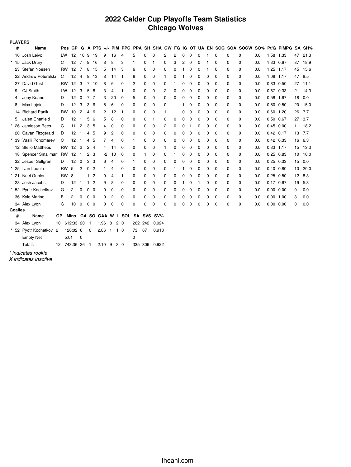## **2022 Calder Cup Playoffs Team Statistics Chicago Wolves**

| <b>PLAYERS</b> |                           |           |                         |                |                |                |                |                |                     |                              |              |    |             |          |   |   |             |             |          |          |          |          |     |               |                                                                              |                 |        |
|----------------|---------------------------|-----------|-------------------------|----------------|----------------|----------------|----------------|----------------|---------------------|------------------------------|--------------|----|-------------|----------|---|---|-------------|-------------|----------|----------|----------|----------|-----|---------------|------------------------------------------------------------------------------|-----------------|--------|
| #              | Name                      |           | Pos GP                  |                |                |                |                |                |                     |                              |              |    |             |          |   |   |             |             |          |          |          |          |     |               | G A PTS +/- PIM PPG PPA SH SHA GW FG IG OT UA EN SOG SOA SOGW SO% Pt/G PIMPG |                 | SA SH% |
|                | 10 Josh Leivo             | LW.       |                         |                | 12 10 9        |                | 19             | 9              | 16                  | 4                            | 5            | 0  | 0           | 2        | 2 | 0 | 0           | $\mathbf 0$ | 1        | 0        | 0        | 0        | 0.0 | 1.58 1.33     |                                                                              | 47              | 21.3   |
|                | * 15 Jack Drury           | С         | 12                      |                | 7              | 9              | 16             | 8              | 8                   | 3                            | 1            | 0  | 1           | 0        | 3 | 2 | 0           | 0           | 1        | 0        | 0        | 0        | 0.0 | 1.33          | 0.67                                                                         | 37              | 18.9   |
|                | 23 Stefan Noesen          |           | <b>RW</b><br>12         |                | $\overline{7}$ | 8              | 15             | 5              | 14                  | 3                            | 6            | 0  | $\mathbf 0$ | 0        | 0 | 1 | $\mathbf 0$ | $\mathbf 0$ | 1        | 0        | 0        | 0        | 0.0 | 1.25 1.17     |                                                                              | 45              | 15.6   |
|                | 22 Andrew Poturalski      | C         | 12                      |                | $\overline{4}$ | 9              | 13             | 8              | 14                  | $\overline{1}$               | 6            | 0  | $\mathbf 0$ | 1        | 0 | 1 | 0           | 0           | 0        | $\Omega$ | 0        | 0        | 0.0 | 1.08 1.17     |                                                                              | 47              | 8.5    |
| 27             | David Gust                |           | <b>RW</b><br>12         |                | 3              | $\overline{7}$ | 10             | 8              | 6                   | $\mathbf 0$                  | 2            | 0  | $\mathbf 0$ | 0        | 1 | 0 | 0           | $\mathbf 0$ | 0        | 0        | 0        | 0        | 0.0 | 0.83 0.50     |                                                                              | 27              | 11.1   |
| 9              | <b>CJ Smith</b>           | LW        | 12                      |                | 3              | 5              | 8              | з              | 4                   | -1                           | 0            | 0  | 0           | 2        | 0 | 0 | $\Omega$    | $\Omega$    | 0        | $\Omega$ | 0        | 0        | 0.0 | 0.67          | 0.33                                                                         | 21              | 14.3   |
| 4              | Joey Keane                | D         | 12                      |                | $\mathbf 0$    | $\overline{7}$ | -7             | 3              | 20                  | 0                            | 5            | 0  | 0           | 0        | 0 | 0 | 0           | 0           | 0        | 0        | 0        | 0        | 0.0 | 0.58 1.67     |                                                                              | 18              | 0.0    |
| 8              | Max Lajoie                | D         | 12                      |                | 3              | 3              | 6              | 5              | 6                   | $\mathbf 0$                  | 0            | 0  | $\mathbf 0$ | 0        | 1 | 1 | 0           | $\Omega$    | 0        | $\Omega$ | 0        | 0        | 0.0 | $0.50$ $0.50$ |                                                                              | 20              | 15.0   |
|                | 14 Richard Panik          | <b>RW</b> | 10                      |                | $\overline{c}$ | 4              | 6              | 2              | 12                  | 1                            | 0            | 0  | $\mathbf 0$ | 1        | 1 | 0 | $\Omega$    | $\Omega$    | 0        | 0        | 0        | 0        | 0.0 | $0.60$ 1.20   |                                                                              | 26              | 7.7    |
| 5              | Jalen Chatfield           | D         | 12                      |                | -1             | 5              | 6              | 5              | 8                   | 0                            | 0            | 0  | 1           | 0        | 0 | 0 | 0           | 0           | 0        | 0        | 0        | 0        | 0.0 | 0.50 0.67     |                                                                              | 27              | 3.7    |
|                | 26 Jamieson Rees          | C         | 11                      |                | $\overline{2}$ | 3              | 5              | 4              | 0                   | 0                            | 0            | 0  | 0           | 2        | 0 | 0 | 1           | 0           | 0        | 0        | 0        | 0        | 0.0 | $0.45$ 0.00   |                                                                              | 11              | 18.2   |
|                | 20 Cavan Fitzgerald       | D         | 12                      | $\overline{1}$ |                | 4              | 5              | 9              | $\overline{c}$      | 0                            | 0            | 0  | 0           | 0        | 0 | 0 | 0           | $\Omega$    | 0        | $\Omega$ | $\Omega$ | 0        | 0.0 | $0.42$ 0.17   |                                                                              | 13              | 7.7    |
|                | * 39 Vasili Ponomarev     | C         | 12                      | -1             |                | 4              | 5              | 7              | 4                   | 0                            | 1            | 0  | $\mathbf 0$ | 0        | 0 | 0 | $\Omega$    | $\Omega$    | 0        | $\Omega$ | 0        | 0        | 0.0 | 0.42 0.33     |                                                                              | 16 6.3          |        |
|                | 12 Stelio Mattheos        |           | <b>RW</b><br>12         |                | $\overline{c}$ | 2              | 4              | 4              | 14                  | $\mathbf 0$                  | 0            | 0  | 0           | 1        | 0 | 0 | 0           | $\mathbf 0$ | 0        | 0        | 0        | 0        | 0.0 | 0.33 1.17     |                                                                              | 15              | 13.3   |
|                | 18 Spencer Smallman RW 12 |           |                         |                | $\mathbf{1}$   | $\mathbf{2}$   | -3             | $-2$           | 10                  | $\mathbf 0$                  | 0            | 1  | $\mathbf 0$ | 0        | 1 | 0 | 0           | $\mathbf 0$ | 0        | 0        | 0        | 0        | 0.0 | $0.25$ 0.83   |                                                                              | 10              | 10.0   |
|                | 32 Jesper Sellgren        | D         | 12                      |                | 0              | 3              | 3              | 6              | 4                   | 0                            | 1            | 0  | $\mathbf 0$ | 0        | 0 | 0 | $\Omega$    | $\Omega$    | $\Omega$ | $\Omega$ | $\Omega$ | 0        | 0.0 | $0.25$ 0.33   |                                                                              | 15              | 0.0    |
|                | * 25 Ivan Lodnia          |           | 5<br><b>RW</b>          |                | 2              | 0              | $\overline{c}$ |                | 4                   | 0                            | 0            | 0  | 0           | 0        | 1 | 1 | $\Omega$    | 0           | 0        | $\Omega$ | 0        | 0        | 0.0 | $0.40$ $0.80$ |                                                                              | 10 <sup>1</sup> | 20.0   |
|                | * 21 Noel Gunler          |           | <b>RW</b><br>8          |                | 1              | 1              | $\overline{2}$ | 0              | 4                   | -1                           | 0            | 0  | $\mathbf 0$ | 0        | 0 | 0 | $\mathbf 0$ | $\mathbf 0$ | 0        | 0        | 0        | 0        | 0.0 | 0.25          | 0.50                                                                         | 12              | 8.3    |
|                | 28 Josh Jacobs            | D         | 12                      |                | -1             | 1              | $\overline{c}$ | 9              | 8                   | 0                            | 0            | 0  | $\mathbf 0$ | 0        | 0 | 1 | 0           |             | 0        | 0        | 0        | 0        | 0.0 | 0.17 0.67     |                                                                              | 19              | 5.3    |
|                | * 52 Pyotr Kochetkov      | G         | 2                       |                | 0              | 0              | $\mathbf 0$    | 0              | $\mathbf 0$         | 0                            | 0            | 0  | 0           | 0        | 0 | 0 | 0           | $\mathbf 0$ | 0        | 0        | 0        | 0        | 0.0 | 0.00 0.00     |                                                                              | 0               | 0.0    |
|                | 36 Kyle Marino            | F         | 2                       |                | 0              | 0              | $\mathbf 0$    | 0              | 2                   | 0                            | 0            | 0  | 0           | 0        | 0 | 0 | $\mathbf 0$ | 0           | 0        | 0        | 0        | 0        | 0.0 | $0.00$ 1.00   |                                                                              | 3               | 0.0    |
|                | 34 Alex Lyon              | G         | 10                      |                | 0              | $\mathbf 0$    | $\mathbf 0$    | 0              | $\mathbf 0$         | $\mathbf 0$                  | 0            | 0  | 0           | $\Omega$ | 0 | 0 | 0           | $\Omega$    | 0        | 0        | 0        | $\Omega$ | 0.0 | 0.00          | 0.00                                                                         | 0               | 0.0    |
| <b>Goalies</b> |                           |           |                         |                |                |                |                |                |                     | GA SO GAA W L SOL SA SVS SV% |              |    |             |          |   |   |             |             |          |          |          |          |     |               |                                                                              |                 |        |
| #              | Name                      | GР        | <b>Mins</b>             |                |                |                |                |                |                     |                              |              |    |             |          |   |   |             |             |          |          |          |          |     |               |                                                                              |                 |        |
|                | 34 Alex Lyon              | 10        | 612:33 20 1<br>126:02 6 |                |                |                | 1.96           |                | 8<br>2 <sub>0</sub> |                              | 262 242      | 67 | 0.924       |          |   |   |             |             |          |          |          |          |     |               |                                                                              |                 |        |
|                | * 52 Pyotr Kochetkov 2    |           |                         |                |                | 0              | 2.86           | $\overline{1}$ | 10                  |                              | 73           |    | 0.918       |          |   |   |             |             |          |          |          |          |     |               |                                                                              |                 |        |
|                | <b>Empty Net</b>          |           | 5:01<br>12 743:36 26    |                | $\mathbf 0$    | $\mathbf{1}$   |                |                |                     |                              | 0<br>335 309 |    |             |          |   |   |             |             |          |          |          |          |     |               |                                                                              |                 |        |
|                | Totals                    |           |                         |                |                |                |                | $2.10$ 9       |                     | 3 0                          |              |    | 0.922       |          |   |   |             |             |          |          |          |          |     |               |                                                                              |                 |        |

*\* indicates rookie*

*X indicates inactive*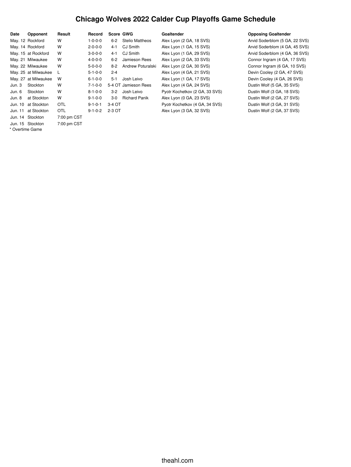# **Chicago Wolves 2022 Calder Cup Playoffs Game Schedule**

| Date            | Opponent             | Result      | Record          | Score GWG |                        | Goaltender                     | <b>Opposing Goaltender</b>     |
|-----------------|----------------------|-------------|-----------------|-----------|------------------------|--------------------------------|--------------------------------|
|                 | May. 12 Rockford     | W           | $1 - 0 - 0 - 0$ | $6-2$     | <b>Stelio Mattheos</b> | Alex Lyon (2 GA, 18 SVS)       | Arvid Soderblom (5 GA, 22 SVS) |
|                 | May. 14 Rockford     | W           | $2 - 0 - 0 - 0$ | $4 - 1$   | CJ Smith               | Alex Lyon (1 GA, 15 SVS)       | Arvid Soderblom (4 GA, 45 SVS) |
|                 | May. 15 at Rockford  | W           | $3 - 0 - 0 - 0$ | $4 - 1$   | CJ Smith               | Alex Lyon (1 GA, 29 SVS)       | Arvid Soderblom (4 GA, 36 SVS) |
|                 | May. 21 Milwaukee    | W           | $4 - 0 - 0 - 0$ | $6 - 2$   | Jamieson Rees          | Alex Lyon (2 GA, 33 SVS)       | Connor Ingram (4 GA, 17 SVS)   |
|                 | May. 22 Milwaukee    | W           | $5 - 0 - 0 - 0$ | $8-2$     | Andrew Poturalski      | Alex Lyon (2 GA, 30 SVS)       | Connor Ingram (6 GA, 10 SVS)   |
|                 | May. 25 at Milwaukee | L           | $5 - 1 - 0 - 0$ | $2 - 4$   |                        | Alex Lyon (4 GA, 21 SVS)       | Devin Cooley (2 GA, 47 SVS)    |
|                 | May. 27 at Milwaukee | W           | $6 - 1 - 0 - 0$ | $5-1$     | Josh Leivo             | Alex Lyon (1 GA, 17 SVS)       | Devin Cooley (4 GA, 26 SVS)    |
| Jun. 3          | Stockton             | W           | $7 - 1 - 0 - 0$ |           | 5-4 OT Jamieson Rees   | Alex Lyon (4 GA, 24 SVS)       | Dustin Wolf (5 GA, 35 SVS)     |
| Jun. 6          | Stockton             | W           | $8 - 1 - 0 - 0$ | $3-2$     | Josh Leivo             | Pyotr Kochetkov (2 GA, 33 SVS) | Dustin Wolf (3 GA, 18 SVS)     |
| Jun. 8          | at Stockton          | W           | $9 - 1 - 0 - 0$ | $3-0$     | <b>Richard Panik</b>   | Alex Lyon (0 GA, 23 SVS)       | Dustin Wolf (2 GA, 27 SVS)     |
| Jun. 10         | at Stockton          | <b>OTL</b>  | $9 - 1 - 0 - 1$ | $3-4$ OT  |                        | Pyotr Kochetkov (4 GA, 34 SVS) | Dustin Wolf (3 GA, 31 SVS)     |
| Jun. 11         | at Stockton          | <b>OTL</b>  | $9 - 1 - 0 - 2$ | 2-3 OT    |                        | Alex Lyon (3 GA, 32 SVS)       | Dustin Wolf (2 GA, 37 SVS)     |
|                 | Jun. 14 Stockton     | 7:00 pm CST |                 |           |                        |                                |                                |
|                 | Jun. 15 Stockton     | 7:00 pm CST |                 |           |                        |                                |                                |
| * Overtime Game |                      |             |                 |           |                        |                                |                                |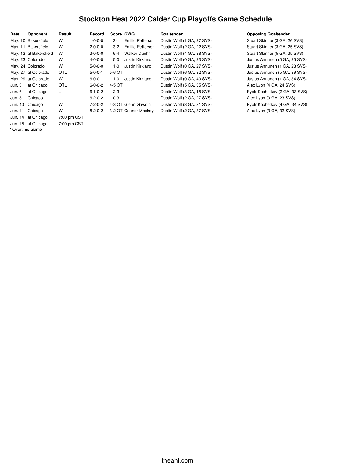## **Stockton Heat 2022 Calder Cup Playoffs Game Schedule**

| Date    | Opponent               | Result      | Record          | Score GWG                   | Goaltender                 | <b>Opposing Goaltender</b>     |
|---------|------------------------|-------------|-----------------|-----------------------------|----------------------------|--------------------------------|
|         | May. 10 Bakersfield    | W           | $1 - 0 - 0 - 0$ | Emilio Pettersen<br>$3 - 1$ | Dustin Wolf (1 GA, 27 SVS) | Stuart Skinner (3 GA, 26 SVS)  |
|         | May. 11 Bakersfield    | W           | $2 - 0 - 0 - 0$ | Emilio Pettersen<br>$3-2$   | Dustin Wolf (2 GA, 22 SVS) | Stuart Skinner (3 GA, 25 SVS)  |
|         | May. 13 at Bakersfield | W           | $3 - 0 - 0 - 0$ | Walker Duehr<br>$6 - 4$     | Dustin Wolf (4 GA, 38 SVS) | Stuart Skinner (5 GA, 35 SVS)  |
|         | May. 23 Colorado       | W           | $4 - 0 - 0 - 0$ | Justin Kirkland<br>$5-0$    | Dustin Wolf (0 GA, 23 SVS) | Justus Annunen (5 GA, 25 SVS)  |
|         | May. 24 Colorado       | W           | $5 - 0 - 0 - 0$ | Justin Kirkland<br>$1 - 0$  | Dustin Wolf (0 GA, 27 SVS) | Justus Annunen (1 GA, 23 SVS)  |
|         | May. 27 at Colorado    | <b>OTL</b>  | $5 - 0 - 0 - 1$ | 5-6 OT                      | Dustin Wolf (6 GA, 32 SVS) | Justus Annunen (5 GA, 39 SVS)  |
|         | May. 29 at Colorado    | W           | $6 - 0 - 0 - 1$ | Justin Kirkland<br>$1 - 0$  | Dustin Wolf (0 GA, 40 SVS) | Justus Annunen (1 GA, 34 SVS)  |
| Jun.3   | at Chicago             | <b>OTL</b>  | $6 - 0 - 0 - 2$ | 4-5 OT                      | Dustin Wolf (5 GA, 35 SVS) | Alex Lyon (4 GA, 24 SVS)       |
| Jun. 6  | at Chicago             | L           | $6 - 1 - 0 - 2$ | $2 - 3$                     | Dustin Wolf (3 GA, 18 SVS) | Pyotr Kochetkov (2 GA, 33 SVS) |
| Jun. 8  | Chicago                | L           | $6 - 2 - 0 - 2$ | $0 - 3$                     | Dustin Wolf (2 GA, 27 SVS) | Alex Lyon (0 GA, 23 SVS)       |
|         | Jun. 10 Chicago        | W           | $7 - 2 - 0 - 2$ | 4-3 OT Glenn Gawdin         | Dustin Wolf (3 GA, 31 SVS) | Pyotr Kochetkov (4 GA, 34 SVS) |
| Jun. 11 | Chicago                | W           | $8 - 2 - 0 - 2$ | 3-2 OT Connor Mackey        | Dustin Wolf (2 GA, 37 SVS) | Alex Lyon (3 GA, 32 SVS)       |
|         | Jun. 14 at Chicago     | 7:00 pm CST |                 |                             |                            |                                |
|         | Jun. 15 at Chicago     | 7:00 pm CST |                 |                             |                            |                                |

\* Overtime Game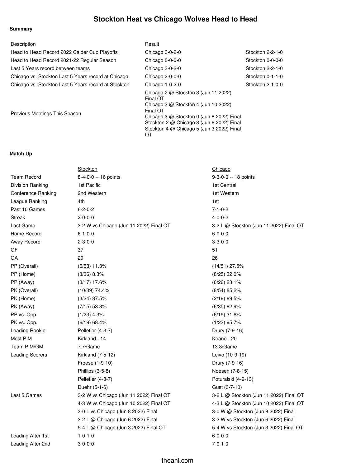## **Stockton Heat vs Chicago Wolves Head to Head**

## **Summary**

| Description                                          | Result                                                                                                                                                                                                                                                |                  |
|------------------------------------------------------|-------------------------------------------------------------------------------------------------------------------------------------------------------------------------------------------------------------------------------------------------------|------------------|
| Head to Head Record 2022 Calder Cup Playoffs         | Chicago 3-0-2-0                                                                                                                                                                                                                                       | Stockton 2-2-1-0 |
| Head to Head Record 2021-22 Regular Season           | Chicago 0-0-0-0                                                                                                                                                                                                                                       | Stockton 0-0-0-0 |
| Last 5 Years record between teams                    | Chicago 3-0-2-0                                                                                                                                                                                                                                       | Stockton 2-2-1-0 |
| Chicago vs. Stockton Last 5 Years record at Chicago  | Chicago 2-0-0-0                                                                                                                                                                                                                                       | Stockton 0-1-1-0 |
| Chicago vs. Stockton Last 5 Years record at Stockton | Chicago 1-0-2-0                                                                                                                                                                                                                                       | Stockton 2-1-0-0 |
| Previous Meetings This Season                        | Chicago 2 $@$ Stockton 3 (Jun 11 2022)<br>Final OT<br>Chicago 3 $@$ Stockton 4 (Jun 10 2022)<br>Final OT<br>Chicago 3 @ Stockton 0 (Jun 8 2022) Final<br>Stockton 2 @ Chicago 3 (Jun 6 2022) Final<br>Stockton 4 @ Chicago 5 (Jun 3 2022) Final<br>OT |                  |

## **Match Up**

|                           | Stockton                                | Chicago                                 |
|---------------------------|-----------------------------------------|-----------------------------------------|
| <b>Team Record</b>        | 8-4-0-0 -- 16 points                    | 9-3-0-0 -- 18 points                    |
| <b>Division Ranking</b>   | 1st Pacific                             | 1st Central                             |
| <b>Conference Ranking</b> | 2nd Western                             | 1st Western                             |
| League Ranking            | 4th                                     | 1st                                     |
| Past 10 Games             | $6 - 2 - 0 - 2$                         | $7 - 1 - 0 - 2$                         |
| <b>Streak</b>             | $2 - 0 - 0 - 0$                         | $4 - 0 - 0 - 2$                         |
| Last Game                 | 3-2 W vs Chicago (Jun 11 2022) Final OT | 3-2 L @ Stockton (Jun 11 2022) Final OT |
| Home Record               | $6 - 1 - 0 - 0$                         | $6 - 0 - 0 - 0$                         |
| Away Record               | $2 - 3 - 0 - 0$                         | $3 - 3 - 0 - 0$                         |
| GF                        | 37                                      | 51                                      |
| GA                        | 29                                      | 26                                      |
| PP (Overall)              | $(6/53)$ 11.3%                          | $(14/51)$ 27.5%                         |
| PP (Home)                 | $(3/36)$ 8.3%                           | $(8/25)$ 32.0%                          |
| PP (Away)                 | $(3/17)$ 17.6%                          | $(6/26)$ 23.1%                          |
| PK (Overall)              | $(10/39)$ 74.4%                         | $(8/54)$ 85.2%                          |
| PK (Home)                 | $(3/24)$ 87.5%                          | $(2/19)$ 89.5%                          |
| PK (Away)                 | $(7/15)$ 53.3%                          | $(6/35)$ 82.9%                          |
| PP vs. Opp.               | $(1/23)$ 4.3%                           | $(6/19)$ 31.6%                          |
| PK vs. Opp.               | (6/19) 68.4%                            | $(1/23)$ 95.7%                          |
| Leading Rookie            | Pelletier (4-3-7)                       | Drury (7-9-16)                          |
| Most PIM                  | Kirkland - 14                           | Keane - 20                              |
| Team PIM/GM               | 7.7/Game                                | 13.3/Game                               |
| <b>Leading Scorers</b>    | Kirkland (7-5-12)                       | Leivo (10-9-19)                         |
|                           | Froese (1-9-10)                         | Drury (7-9-16)                          |
|                           | Phillips (3-5-8)                        | Noesen (7-8-15)                         |
|                           | Pelletier (4-3-7)                       | Poturalski (4-9-13)                     |
|                           | Duehr (5-1-6)                           | Gust (3-7-10)                           |
| Last 5 Games              | 3-2 W vs Chicago (Jun 11 2022) Final OT | 3-2 L @ Stockton (Jun 11 2022) Final OT |
|                           | 4-3 W vs Chicago (Jun 10 2022) Final OT | 4-3 L @ Stockton (Jun 10 2022) Final OT |
|                           | 3-0 L vs Chicago (Jun 8 2022) Final     | 3-0 W @ Stockton (Jun 8 2022) Final     |
|                           | 3-2 L @ Chicago (Jun 6 2022) Final      | 3-2 W vs Stockton (Jun 6 2022) Final    |
|                           | 5-4 L @ Chicago (Jun 3 2022) Final OT   | 5-4 W vs Stockton (Jun 3 2022) Final OT |
| Leading After 1st         | $1 - 0 - 1 - 0$                         | $6 - 0 - 0 - 0$                         |
| Leading After 2nd         | $3 - 0 - 0 - 0$                         | $7 - 0 - 1 - 0$                         |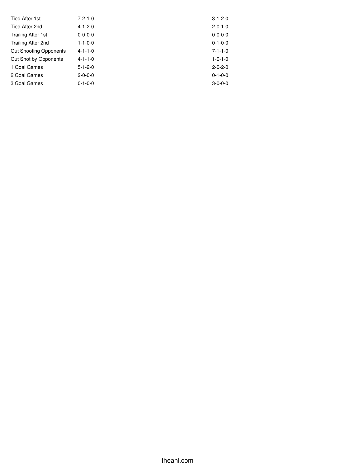| Tied After 1st                | $7 - 2 - 1 - 0$ | $3 - 1 - 2 - 0$ |
|-------------------------------|-----------------|-----------------|
| Tied After 2nd                | $4 - 1 - 2 - 0$ | $2 - 0 - 1 - 0$ |
| <b>Trailing After 1st</b>     | $0 - 0 - 0 - 0$ | $0 - 0 - 0 - 0$ |
| Trailing After 2nd            | $1 - 1 - 0 - 0$ | $0 - 1 - 0 - 0$ |
| <b>Out Shooting Opponents</b> | $4 - 1 - 1 - 0$ | $7 - 1 - 1 - 0$ |
| Out Shot by Opponents         | $4 - 1 - 1 - 0$ | $1 - 0 - 1 - 0$ |
| 1 Goal Games                  | $5 - 1 - 2 - 0$ | $2 - 0 - 2 - 0$ |
| 2 Goal Games                  | $2 - 0 - 0 - 0$ | $0 - 1 - 0 - 0$ |
| 3 Goal Games                  | $0 - 1 - 0 - 0$ | $3 - 0 - 0 - 0$ |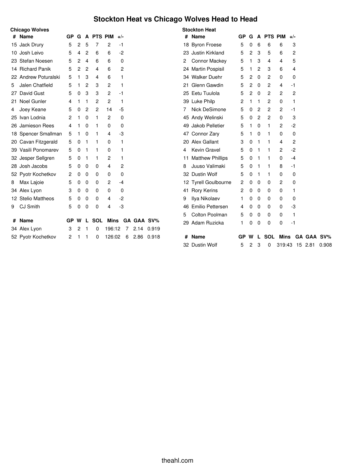## **Stockton Heat vs Chicago Wolves Head to Head**

## **Chicago Wolves**

| #  | <b>Name</b>          | GP | G | A              | <b>PTS PIM</b> |                | $+/-$ |   |      |            |
|----|----------------------|----|---|----------------|----------------|----------------|-------|---|------|------------|
|    | 15 Jack Drury        | 5  | 2 | 5              | 7              | 2              | -1    |   |      |            |
|    | 10 Josh Leivo        | 5  | 4 | 2              | 6              | 6              | -2    |   |      |            |
|    | 23 Stefan Noesen     | 5  | 2 | 4              | 6              | 6              |       | 0 |      |            |
|    | 14 Richard Panik     | 5  | 2 | $\overline{c}$ | 4              | 6              |       | 2 |      |            |
|    | 22 Andrew Poturalski | 5  | 1 | 3              | 4              | 6              |       | 1 |      |            |
| 5  | Jalen Chatfield      | 5  | 1 | 2              | 3              | 2              |       | 1 |      |            |
| 27 | David Gust           | 5  | 0 | 3              | 3              | 2              | -1    |   |      |            |
| 21 | <b>Noel Gunler</b>   | 4  | 1 | 1              | 2              | 2              |       | 1 |      |            |
| 4  | Joey Keane           | 5  | 0 | 2              | 2              | 14             | -5    |   |      |            |
| 25 | Ivan Lodnia          | 2  | 1 | 0              | 1              | 2              |       | 0 |      |            |
|    | 26 Jamieson Rees     | 4  | 1 | 0              | 1              | 0              |       | 0 |      |            |
|    | 18 Spencer Smallman  | 5  | 1 | 0              | 1              | 4              | -3    |   |      |            |
|    | 20 Cavan Fitzgerald  | 5  | 0 | 1              | 1              | 0              | 1     |   |      |            |
|    | 39 Vasili Ponomarev  | 5  | 0 | 1              | 1              | 0              |       | 1 |      |            |
|    | 32 Jesper Sellgren   | 5  | 0 | 1              | 1              | 2              |       | 1 |      |            |
|    | 28 Josh Jacobs       | 5  | 0 | 0              | 0              | 4              |       | 2 |      |            |
|    | 52 Pyotr Kochetkov   | 2  | 0 | 0              | 0              | 0              |       | 0 |      |            |
| 8  | Max Lajoie           | 5  | 0 | 0              | 0              | $\overline{c}$ | -4    |   |      |            |
|    | 34 Alex Lyon         | 3  | 0 | 0              | 0              | 0              |       | 0 |      |            |
|    | 12 Stelio Mattheos   | 5  | 0 | 0              | 0              | 4              | $-2$  |   |      |            |
| 9  | <b>CJ Smith</b>      | 5  | 0 | 0              | 0              | 4              | -3    |   |      |            |
|    |                      |    |   |                |                |                |       |   |      |            |
| #  | <b>Name</b>          | GP | w | L              | <b>SOL</b>     | Mins           |       |   |      | GA GAA SV% |
|    | 34 Alex Lyon         | 3  | 2 | 1              | 0              | 196:12         |       | 7 | 2.14 | 0.919      |
|    | 52 Pyotr Kochetkov   | 2  | 1 | 1              | 0              | 126:02         |       | 6 | 2.86 | 0.918      |

|    | <b>Stockton Heat</b>    |    |   |                |                |             |      |    |            |       |
|----|-------------------------|----|---|----------------|----------------|-------------|------|----|------------|-------|
| #  | <b>Name</b>             | GP | G | A              | <b>PTS PIM</b> |             | +/-  |    |            |       |
|    | 18 Byron Froese         | 5  | 0 | 6              | 6              | 6           |      | 3  |            |       |
|    | 23 Justin Kirkland      | 5  | 2 | 3              | 5              | 6           |      | 2  |            |       |
| 2  | <b>Connor Mackey</b>    | 5  | 1 | 3              | 4              | 4           |      | 5  |            |       |
|    | 24 Martin Pospisil      | 5  | 1 | $\overline{2}$ | 3              | 6           |      | 4  |            |       |
|    | 34 Walker Duehr         | 5  | 2 | 0              | 2              | 0           |      | 0  |            |       |
| 21 | Glenn Gawdin            | 5  | 2 | 0              | 2              | 4           | $-1$ |    |            |       |
|    | 25 Eetu Tuulola         | 5  | 2 | 0              | 2              | 2           |      | 2  |            |       |
|    | 39 Luke Philp           | 2  | 1 | 1              | 2              | 0           |      | 1  |            |       |
| 7  | Nick DeSimone           | 5  | 0 | 2              | 2              | 2           | $-1$ |    |            |       |
|    | 45 Andy Welinski        | 5  | 0 | 2              | 2              | 0           |      | 3  |            |       |
|    | 49 Jakob Pelletier      | 5  | 1 | 0              | 1              | 2           | -2   |    |            |       |
|    | 47 Connor Zary          | 5  | 1 | 0              | 1              | 0           |      | 0  |            |       |
|    | 20 Alex Gallant         | 3  | 0 | 1              | 1              | 4           |      | 2  |            |       |
| 4  | Kevin Gravel            | 5  | 0 | 1              | 1              | 2           | $-2$ |    |            |       |
| 11 | <b>Matthew Phillips</b> | 5  | 0 | 1              | 1              | 0           | $-4$ |    |            |       |
| 8  | Juuso Valimaki          | 5  | 0 | 1              | 1              | 8           | $-1$ |    |            |       |
|    | 32 Dustin Wolf          | 5  | 0 | 1              | 1              | 0           |      | 0  |            |       |
|    | 12 Tyrell Goulbourne    | 2  | 0 | 0              | 0              | 2           |      | 0  |            |       |
| 41 | <b>Rory Kerins</b>      | 2  | 0 | $\mathbf{0}$   | 0              | 0           |      | 1  |            |       |
| 9  | Ilya Nikolaev           | 1  | 0 | 0              | 0              | 0           |      | 0  |            |       |
| 46 | <b>Emilio Pettersen</b> | 4  | 0 | 0              | $\mathbf{0}$   | 0           | -3   |    |            |       |
| 5  | <b>Colton Poolman</b>   | 5  | 0 | 0              | 0              | 0           |      | 1  |            |       |
|    | 29 Adam Ruzicka         | 1  | 0 | 0              | 0              | 0           | $-1$ |    |            |       |
| #  | <b>Name</b>             | GP | w | L              | <b>SOL</b>     | <b>Mins</b> |      |    | GA GAA SV% |       |
| 32 | <b>Dustin Wolf</b>      | 5  | 2 | 3              | 0              | 319:43      |      | 15 | 2.81       | 0.908 |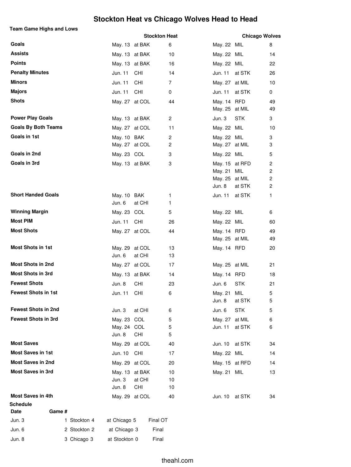## **Stockton Heat vs Chicago Wolves Head to Head**

## **Team Game Highs and Lows**

|                            |              |                       |            | <b>Stockton Heat</b> |                           | <b>Chicago Wolves</b> |              |
|----------------------------|--------------|-----------------------|------------|----------------------|---------------------------|-----------------------|--------------|
| Goals                      |              | May. 13 at BAK        |            | 6                    | May. 22 MIL               |                       | 8            |
| <b>Assists</b>             |              | May. 13 at BAK        |            | 10                   | May. 22 MIL               |                       | 14           |
| <b>Points</b>              |              | May. 13 at BAK        |            | 16                   | May. 22 MIL               |                       | 22           |
| <b>Penalty Minutes</b>     |              | Jun. 11               | CHI        | 14                   | Jun. 11                   | at STK                | 26           |
| <b>Minors</b>              |              | Jun. 11               | CHI        | $\overline{7}$       | May. 27 at MIL            |                       | 10           |
| <b>Majors</b>              |              | Jun. 11               | CHI        | 0                    | Jun. 11                   | at STK                | 0            |
| <b>Shots</b>               |              | May. 27 at COL        |            | 44                   | May. 14 RFD               |                       | 49           |
|                            |              |                       |            |                      | May. 25 at MIL            |                       | 49           |
| <b>Power Play Goals</b>    |              | May. 13 at BAK        |            | $\overline{c}$       | Jun. 3                    | <b>STK</b>            | 3            |
| <b>Goals By Both Teams</b> |              | May. 27 at COL        |            | 11                   | May. 22 MIL               |                       | 10           |
| Goals in 1st               |              | May. 10 BAK           |            | 2                    | May. 22 MIL               |                       | 3            |
|                            |              | May. 27 at COL        |            | 2                    | May. 27 at MIL            |                       | 3            |
| Goals in 2nd               |              | May. 23 COL           |            | 3                    | May. 22 MIL               |                       | 5            |
| Goals in 3rd               |              | May. 13 at BAK        |            | 3                    | May. 15                   | at RFD                | 2            |
|                            |              |                       |            |                      | May. 21<br>May. 25 at MIL | MIL                   | 2<br>2       |
|                            |              |                       |            |                      | Jun. 8                    | at STK                | $\mathbf{2}$ |
| <b>Short Handed Goals</b>  |              | May. 10 BAK           |            | 1                    | Jun. 11                   | at STK                | 1            |
|                            |              | Jun. 6                | at CHI     | 1.                   |                           |                       |              |
| <b>Winning Margin</b>      |              | May. 23 COL           |            | 5                    | May. 22 MIL               |                       | 6            |
| <b>Most PIM</b>            |              | Jun. 11               | CHI        | 26                   | May. 22 MIL               |                       | 60           |
| <b>Most Shots</b>          |              | May. 27 at COL        |            | 44                   | May. 14 RFD               |                       | 49           |
|                            |              |                       |            |                      | May. 25 at MIL            |                       | 49           |
| <b>Most Shots in 1st</b>   |              | May. 29               | at COL     | 13                   | May. 14 RFD               |                       | 20           |
|                            |              | Jun. 6                | at CHI     | 13                   |                           |                       |              |
| <b>Most Shots in 2nd</b>   |              | May. 27 at COL        |            | 17                   | May. 25 at MIL            |                       | 21           |
| <b>Most Shots in 3rd</b>   |              | May. 13 at BAK        |            | 14                   | May. 14 RFD               |                       | 18           |
| <b>Fewest Shots</b>        |              | Jun. 8                | <b>CHI</b> | 23                   | Jun. 6                    | <b>STK</b>            | 21           |
| <b>Fewest Shots in 1st</b> |              | Jun. 11               | CHI        | 6                    | May. 21                   | MIL                   | 5            |
|                            |              |                       |            |                      | Jun. 8                    | at STK                | 5            |
| <b>Fewest Shots in 2nd</b> |              | Jun. 3                | at CHI     | 6                    | Jun. 6                    | <b>STK</b>            | 5            |
| <b>Fewest Shots in 3rd</b> |              | May. 23               | COL        | 5                    | May. 27                   | at MIL                | 6            |
|                            |              | May. 24 COL<br>Jun. 8 | CHI        | 5<br>5               | Jun. 11                   | at STK                | 6            |
| <b>Most Saves</b>          |              | May. 29 at COL        |            | 40                   | Jun. 10                   | at STK                | 34           |
| <b>Most Saves in 1st</b>   |              | Jun. 10               | CHI        | 17                   | May. 22 MIL               |                       | 14           |
| <b>Most Saves in 2nd</b>   |              | May. 29 at COL        |            | 20                   | May. 15 at RFD            |                       | 14           |
| <b>Most Saves in 3rd</b>   |              | May. 13 at BAK        |            | 10                   | May. 21 MIL               |                       | 13           |
|                            |              | Jun. 3                | at CHI     | 10                   |                           |                       |              |
|                            |              | Jun. 8                | <b>CHI</b> | 10                   |                           |                       |              |
| <b>Most Saves in 4th</b>   |              | May. 29 at COL        |            | 40                   | Jun. 10                   | at STK                | 34           |
| <b>Schedule</b>            |              |                       |            |                      |                           |                       |              |
| Game #<br>Date             |              |                       |            |                      |                           |                       |              |
| Jun. 3                     | 1 Stockton 4 | at Chicago 5          |            | Final OT             |                           |                       |              |
| Jun. 6                     | 2 Stockton 2 | at Chicago 3          |            | Final                |                           |                       |              |
| Jun. 8                     | 3 Chicago 3  | at Stockton 0         |            | Final                |                           |                       |              |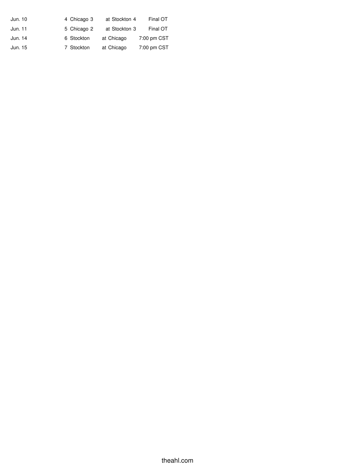| Jun. 10 | 4 Chicago 3 | at Stockton 4 | Final OT    |
|---------|-------------|---------------|-------------|
| Jun. 11 | 5 Chicago 2 | at Stockton 3 | Final OT    |
| Jun. 14 | 6 Stockton  | at Chicago    | 7:00 pm CST |
| Jun. 15 | 7 Stockton  | at Chicago    | 7:00 pm CST |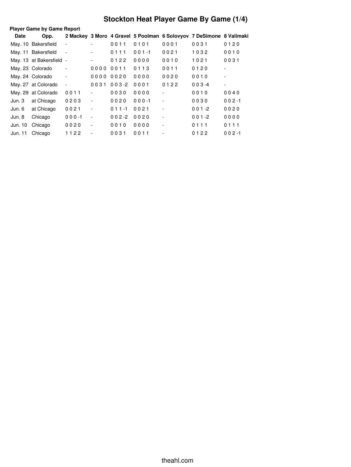# **Stockton Heat Player Game By Game (1/4)**

|             | <b>Player Game by Game Report</b> |                          |                          |           |           |                          |                                                                     |                          |
|-------------|-----------------------------------|--------------------------|--------------------------|-----------|-----------|--------------------------|---------------------------------------------------------------------|--------------------------|
| <b>Date</b> | Opp.                              |                          |                          |           |           |                          | 2 Mackey 3 Moro 4 Gravel 5 Poolman 6 Solovyov 7 DeSimone 8 Valimaki |                          |
|             | May. 10 Bakersfield               |                          |                          | 0011      | 0101      | 0001                     | 0031                                                                | 0120                     |
|             | May. 11 Bakersfield               |                          |                          | 0111      | $001 - 1$ | 0021                     | 1032                                                                | 0010                     |
|             | May. 13 at Bakersfield -          |                          |                          | 0122      | 0000      | 0010                     | 1021                                                                | 0031                     |
|             | May. 23 Colorado                  |                          | 0000                     | 0011      | 0113      | 0011                     | 0120                                                                | $\overline{\phantom{a}}$ |
|             | May. 24 Colorado                  | $\overline{\phantom{a}}$ | 0000                     | 0020      | 0000      | 0020                     | 0010                                                                | $\blacksquare$           |
|             | May. 27 at Colorado               | $\overline{\phantom{a}}$ | 0031                     | $003 - 2$ | 0001      | 0122                     | $003 -4$                                                            | $\blacksquare$           |
|             | May. 29 at Colorado               | 0011                     |                          | 0030      | 0000      | ٠                        | 0010                                                                | 0040                     |
| Jun. 3      | at Chicago                        | 0203                     | $\blacksquare$           | 0020      | $000 - 1$ | $\overline{\phantom{a}}$ | 0030                                                                | $002 - 1$                |
| Jun. 6      | at Chicago                        | 0021                     | $\overline{\phantom{a}}$ | $011 - 1$ | 0021      | ٠                        | $001 - 2$                                                           | 0020                     |
| Jun. 8      | Chicago                           | $000 - 1$                | $\sim$                   | $002 - 2$ | 0020      |                          | $001 - 2$                                                           | 0000                     |
| Jun. 10     | Chicago                           | 0020                     | $\overline{\phantom{a}}$ | 0010      | 0000      | $\overline{\phantom{a}}$ | 0111                                                                | 0111                     |
| Jun. 11     | Chicago                           | 1122                     | $\overline{\phantom{a}}$ | 0031      | 0011      |                          | 0122                                                                | $002 - 1$                |
|             |                                   |                          |                          |           |           |                          |                                                                     |                          |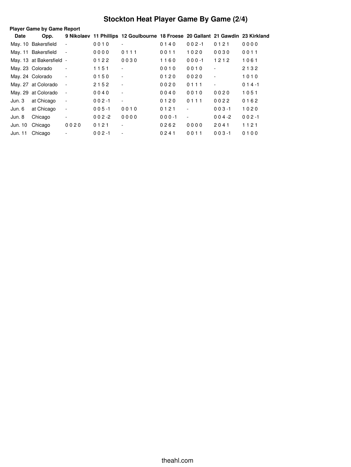# **Stockton Heat Player Game By Game (2/4)**

| <b>Player Game by Game Report</b> |                          |                          |           |                                                                                 |           |                          |                              |           |
|-----------------------------------|--------------------------|--------------------------|-----------|---------------------------------------------------------------------------------|-----------|--------------------------|------------------------------|-----------|
| Date                              | Opp.                     |                          |           | 9 Nikolaev 11 Phillips 12 Goulbourne 18 Froese 20 Gallant 21 Gawdin 23 Kirkland |           |                          |                              |           |
|                                   | May. 10 Bakersfield      |                          | 0010      |                                                                                 | 0140      | $002 - 1$                | 0121                         | 0000      |
|                                   | May. 11 Bakersfield      | $\overline{\phantom{a}}$ | 0000      | 0111                                                                            | 0011      | 1020                     | 0030                         | 0011      |
|                                   | May. 13 at Bakersfield - |                          | 0122      | 0030                                                                            | 1160      | $000 - 1$                | 1212                         | 1061      |
|                                   | May. 23 Colorado         | $\overline{\phantom{a}}$ | 1151      | -                                                                               | 0010      | 0010                     | $\overline{\phantom{m}}$     | 2132      |
|                                   | May. 24 Colorado         | $\overline{\phantom{0}}$ | 0150      | -                                                                               | 0120      | 0020                     | $\qquad \qquad \blacksquare$ | 1010      |
|                                   | May. 27 at Colorado      | $\overline{\phantom{a}}$ | 2152      | $\overline{\phantom{a}}$                                                        | 0020      | 0111                     | $\overline{\phantom{a}}$     | $014 - 1$ |
|                                   | May. 29 at Colorado      | $\overline{\phantom{a}}$ | 0040      | Ξ.                                                                              | 0040      | 0010                     | 0020                         | 1051      |
| Jun. 3                            | at Chicago               | $\overline{\phantom{a}}$ | $002 - 1$ | ٠                                                                               | 0120      | 0111                     | 0022                         | 0162      |
| Jun. 6                            | at Chicago               | $\overline{\phantom{a}}$ | $005 - 1$ | 0010                                                                            | 0121      | $\overline{a}$           | $003 - 1$                    | 1020      |
| Jun. 8                            | Chicago                  | -                        | $002 - 2$ | 0000                                                                            | $000 - 1$ | $\overline{\phantom{a}}$ | $004 - 2$                    | $002 - 1$ |
| Jun. 10                           | Chicago                  | 0020                     | 0121      |                                                                                 | 0262      | 0000                     | 2041                         | 1121      |
| Jun. 11                           | Chicago                  |                          | $002 - 1$ | -                                                                               | 0241      | 0011                     | $003 - 1$                    | 0100      |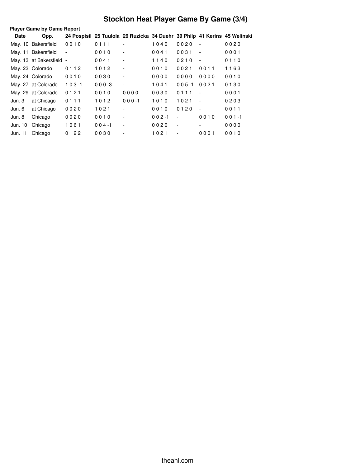# **Stockton Heat Player Game By Game (3/4)**

| 24 Pospisil 25 Tuulola 29 Ruzicka 34 Duehr 39 Philp 41 Kerins 45 Welinski<br><b>Date</b><br>Opp.<br>May. 10 Bakersfield<br>0010<br>0111<br>1040<br>0020<br>0020<br>$\overline{\phantom{a}}$ |  |
|---------------------------------------------------------------------------------------------------------------------------------------------------------------------------------------------|--|
|                                                                                                                                                                                             |  |
|                                                                                                                                                                                             |  |
| May. 11 Bakersfield<br>0010<br>0041<br>0031<br>0001<br>$\overline{\phantom{a}}$<br>$\overline{\phantom{a}}$<br>$\overline{\phantom{a}}$                                                     |  |
| May. 13 at Bakersfield -<br>0041<br>1140<br>0210<br>0110<br>$\blacksquare$<br>$\overline{\phantom{a}}$                                                                                      |  |
| May. 23 Colorado<br>1012<br>0010<br>0021<br>0011<br>1163<br>0112<br>$\overline{\phantom{a}}$                                                                                                |  |
| 0000<br>0010<br>May. 24 Colorado<br>0010<br>0030<br>0000<br>0000<br>$\overline{\phantom{a}}$                                                                                                |  |
| $103 - 1$<br>$000-3$<br>$005 - 1$<br>0021<br>0130<br>May. 27 at Colorado<br>1041<br>$\overline{\phantom{a}}$                                                                                |  |
| 0121<br>0111<br>May. 29 at Colorado<br>0010<br>0000<br>0030<br>0001<br>$\overline{\phantom{a}}$                                                                                             |  |
| at Chicago<br>1012<br>1010<br>1021<br>Jun. 3<br>0111<br>$000 - 1$<br>0203<br>$\sim$                                                                                                         |  |
| 0120<br>at Chicago<br>0020<br>1021<br>0010<br>0011<br>Jun. 6<br>$\sim$                                                                                                                      |  |
| 0020<br>0010<br>0010<br>$001 - 1$<br>Jun. 8<br>Chicago<br>$002 - 1$<br>$\sim$<br>$\blacksquare$                                                                                             |  |
| Jun. 10<br>Chicago<br>1061<br>$004 - 1$<br>0020<br>0000<br>$\overline{\phantom{a}}$<br>$\overline{\phantom{a}}$<br>$\overline{\phantom{a}}$                                                 |  |
| 0122<br>Chicago<br>0030<br>1021<br>0001<br>0010<br>Jun. 11<br>$\overline{\phantom{a}}$                                                                                                      |  |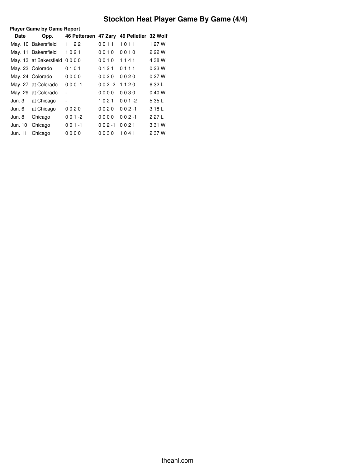# **Stockton Heat Player Game By Game (4/4)**

|         | <b>Player Game by Game Report</b> |                                           |           |           |        |  |  |
|---------|-----------------------------------|-------------------------------------------|-----------|-----------|--------|--|--|
| Date    | Opp.                              | 46 Pettersen 47 Zary 49 Pelletier 32 Wolf |           |           |        |  |  |
|         | May. 10 Bakersfield               | 1122                                      | 0011      | 1011      | 1 27 W |  |  |
|         | May. 11 Bakersfield               | 1021                                      | 0010      | 0010      | 2 22 W |  |  |
|         | May. 13 at Bakersfield            | 0000                                      | 0010      | 1141      | 4 38 W |  |  |
|         | May. 23 Colorado                  | 0101                                      | 0121      | 0111      | 0 23 W |  |  |
|         | May. 24 Colorado                  | 0000                                      | 0020      | 0020      | 0 27 W |  |  |
|         | May. 27 at Colorado               | $000 - 1$                                 | $002 - 2$ | 1120      | 6 32 L |  |  |
|         | May. 29 at Colorado               |                                           | 0000      | 0030      | 040W   |  |  |
| Jun. 3  | at Chicago                        | -                                         | 1021      | $001 - 2$ | 5 35 L |  |  |
| Jun. 6  | at Chicago                        | 0020                                      | 0020      | $002 - 1$ | 318L   |  |  |
| Jun. 8  | Chicago                           | $001 - 2$                                 | 0000      | $002 - 1$ | 2 27 L |  |  |
| Jun. 10 | Chicago                           | $001 - 1$                                 | $002 - 1$ | 0021      | 3 31 W |  |  |
| Jun. 11 | Chicago                           | 0000                                      | 0030      | 1041      | 2 37 W |  |  |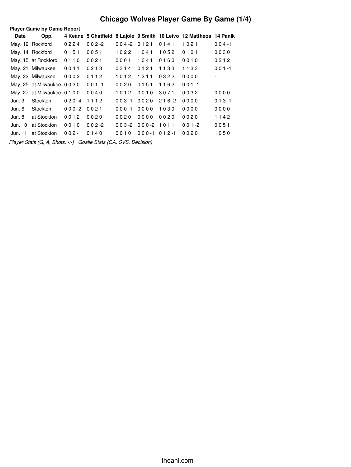## **Chicago Wolves Player Game By Game (1/4)**

|         | <b>Player Game by Game Report</b> |           |           |                 |                      |           |                                                                    |                          |
|---------|-----------------------------------|-----------|-----------|-----------------|----------------------|-----------|--------------------------------------------------------------------|--------------------------|
| Date    | Opp.                              |           |           |                 |                      |           | 4 Keane 5 Chatfield 8 Lajoie 9 Smith 10 Leivo 12 Mattheos 14 Panik |                          |
|         | May. 12 Rockford                  | 0224      | $002 - 2$ | $0.04 - 2.0121$ |                      | 0141      | 1021                                                               | $004 - 1$                |
|         | May. 14 Rockford                  | 0151      | 0051      | 1022            | 1041                 | 1052      | 0101                                                               | 0030                     |
|         | May. 15 at Rockford               | 0110      | 0021      | 0001            | 1041                 | 0160      | 0010                                                               | 0212                     |
|         | May. 21 Milwaukee                 | 0041      | 0213      | 0314            | 0121                 | 1133      | 1133                                                               | $001 - 1$                |
|         | May. 22 Milwaukee                 | 0002      | 0112      | 1012            | 1211                 | 0322      | 0000                                                               | $\overline{\phantom{a}}$ |
|         | May. 25 at Milwaukee 0020         |           | $001 - 1$ | 0020            | 0151                 | 1162      | $001 - 1$                                                          | $\overline{\phantom{a}}$ |
|         | May. 27 at Milwaukee 0100         |           | 0040      | 1012            | 0010                 | 3071      | 0032                                                               | 0000                     |
| Jun. 3  | Stockton                          | $020 - 4$ | 1112      | $003 - 1$       | 0020                 | $216 - 2$ | 0000                                                               | $013 - 1$                |
| Jun. 6  | Stockton                          | $000-2$   | 0021      | $000 - 1$       | 0000                 | 1030      | 0000                                                               | 0000                     |
| Jun. 8  | at Stockton                       | 0012      | 0020      | 0020            | 0000                 | 0020      | 0020                                                               | 1142                     |
| Jun. 10 | at Stockton                       | 0010      | $002 - 2$ |                 | $003 - 2000 - 21011$ |           | $001 - 2$                                                          | 0051                     |
| Jun. 11 | at Stockton                       | $002 - 1$ | 0140      | 0010            | $000 - 1$            | $012 - 1$ | 0020                                                               | 1050                     |

*Player Stats (G, A, Shots, -/-) Goalie Stats (GA, SVS, Decision)*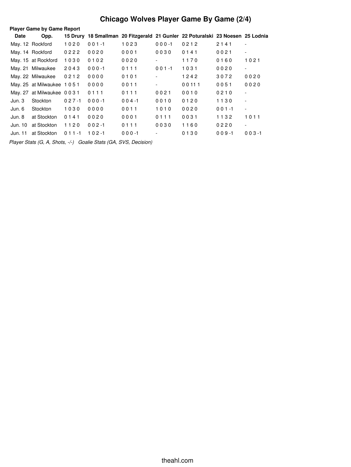## **Chicago Wolves Player Game By Game (2/4)**

| <b>Player Game by Game Report</b> |                           |           |           |           |           |                                                                                |           |                          |
|-----------------------------------|---------------------------|-----------|-----------|-----------|-----------|--------------------------------------------------------------------------------|-----------|--------------------------|
| Date                              | Opp.                      |           |           |           |           | 15 Drury 18 Smallman 20 Fitzgerald 21 Gunler 22 Poturalski 23 Noesen 25 Lodnia |           |                          |
|                                   | May. 12 Rockford          | 1020      | $001 - 1$ | 1023      | $000 - 1$ | 0212                                                                           | 2141      | $\overline{\phantom{a}}$ |
|                                   | May. 14 Rockford          | 0222      | 0020      | 0001      | 0030      | 0141                                                                           | 0021      | $\overline{\phantom{a}}$ |
|                                   | May. 15 at Rockford       | 1030      | 0102      | 0020      |           | 1170                                                                           | 0160      | 1021                     |
|                                   | May. 21 Milwaukee         | 2043      | $000 - 1$ | 0111      | $001 - 1$ | 1031                                                                           | 0020      | $\overline{\phantom{a}}$ |
|                                   | May. 22 Milwaukee         | 0212      | 0000      | 0101      |           | 1242                                                                           | 3072      | 0020                     |
|                                   | May. 25 at Milwaukee 1051 |           | 0000      | 0011      |           | 00111                                                                          | 0051      | 0020                     |
|                                   | May. 27 at Milwaukee 0031 |           | 0111      | 0111      | 0021      | 0010                                                                           | 0210      | $\overline{\phantom{a}}$ |
| Jun. 3                            | Stockton                  | $027 - 1$ | $000 - 1$ | $004 - 1$ | 0010      | 0120                                                                           | 1130      | $\overline{\phantom{a}}$ |
| Jun. 6                            | Stockton                  | 1030      | 0000      | 0011      | 1010      | 0020                                                                           | $001 - 1$ | $\overline{\phantom{a}}$ |
| Jun. 8                            | at Stockton               | 0141      | 0020      | 0001      | 0111      | 0031                                                                           | 1132      | 1011                     |
| Jun. 10                           | at Stockton               | 1120      | $002 - 1$ | 0111      | 0030      | 1160                                                                           | 0220      | $\blacksquare$           |
| Jun. 11                           | at Stockton               | $011 - 1$ | $102 - 1$ | $000 - 1$ |           | 0130                                                                           | $009 - 1$ | $003 - 1$                |
|                                   |                           |           |           |           |           |                                                                                |           |                          |

*Player Stats (G, A, Shots, -/-) Goalie Stats (GA, SVS, Decision)*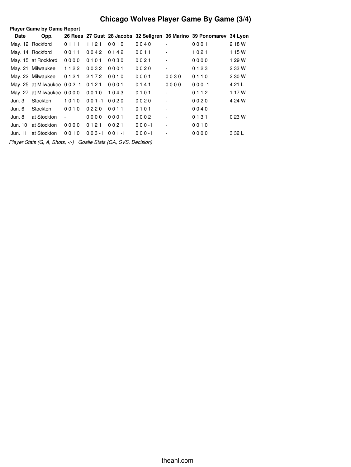## **Chicago Wolves Player Game By Game (3/4)**

| <b>Player Game by Game Report</b> |                            |                          |           |           |           |                          |                                                                      |         |
|-----------------------------------|----------------------------|--------------------------|-----------|-----------|-----------|--------------------------|----------------------------------------------------------------------|---------|
| Date                              | Opp.                       |                          |           |           |           |                          | 26 Rees 27 Gust 28 Jacobs 32 Sellgren 36 Marino 39 Ponomarev 34 Lyon |         |
|                                   | May. 12 Rockford           | 0111                     | 1121      | 0010      | 0040      | $\overline{\phantom{a}}$ | 0001                                                                 | 2 18 W  |
|                                   | May. 14 Rockford           | 0011                     | 0042      | 0142      | 0011      | $\overline{\phantom{a}}$ | 1021                                                                 | 1 15 W  |
|                                   | May. 15 at Rockford        | 0000                     | 0101      | 0030      | 0021      |                          | 0000                                                                 | 1 29 W  |
|                                   | May. 21 Milwaukee          | 1122                     | 0032      | 0001      | 0020      | $\overline{\phantom{a}}$ | 0123                                                                 | 2 33 W  |
|                                   | May. 22 Milwaukee          | 0121                     | 2172      | 0010      | 0001      | 0030                     | 0110                                                                 | 2 30 W  |
|                                   | May. 25 at Milwaukee 002-1 |                          | 0121      | 0001      | 0141      | 0000                     | $000 - 1$                                                            | 4 21 L  |
|                                   | May. 27 at Milwaukee 0000  |                          | 0010      | 1043      | 0101      |                          | 0112                                                                 | 1 17 W  |
| Jun. 3                            | Stockton                   | 1010                     | $001 - 1$ | 0020      | 0020      |                          | 0020                                                                 | 4 24 W  |
| Jun. 6                            | Stockton                   | 0010                     | 0220      | 0011      | 0101      | $\overline{\phantom{a}}$ | 0040                                                                 |         |
| Jun. 8                            | at Stockton                | $\overline{\phantom{a}}$ | 0000      | 0001      | 0002      | $\overline{\phantom{a}}$ | 0131                                                                 | 0 23 W  |
| Jun. 10                           | at Stockton                | 0000                     | 0121      | 0021      | $000 - 1$ | $\overline{\phantom{a}}$ | 0010                                                                 |         |
| Jun. 11                           | at Stockton                | 0010                     | $003 - 1$ | $001 - 1$ | $000 - 1$ |                          | 0000                                                                 | 3 3 2 L |
|                                   |                            |                          |           |           |           |                          |                                                                      |         |

*Player Stats (G, A, Shots, -/-) Goalie Stats (GA, SVS, Decision)*